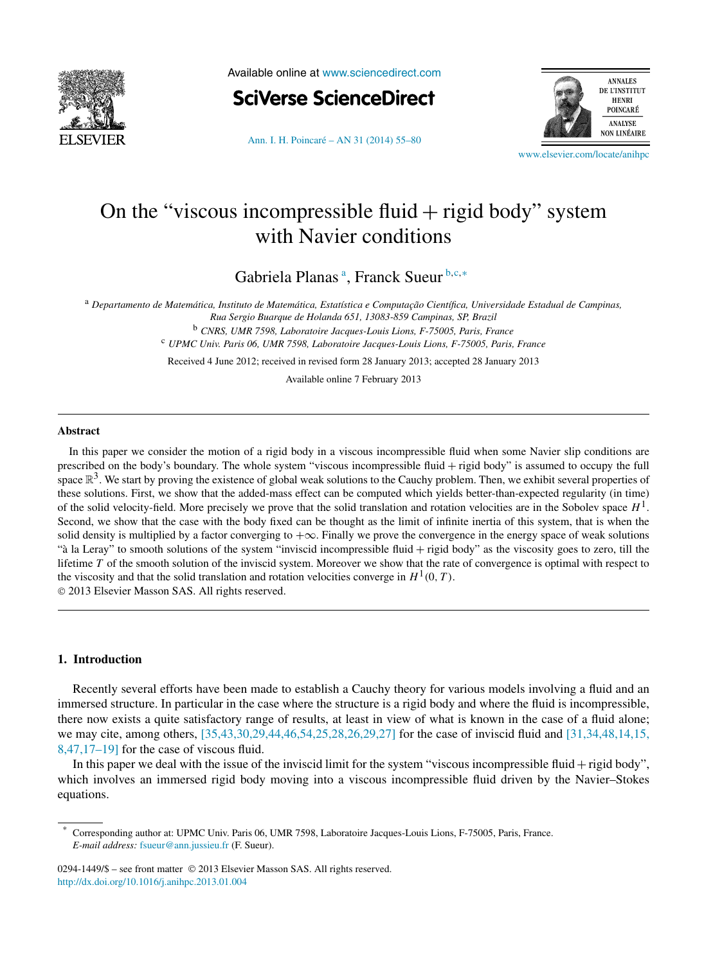

Available online at [www.sciencedirect.com](http://www.sciencedirect.com)





[Ann. I. H. Poincaré – AN 31 \(2014\) 55–80](http://dx.doi.org/10.1016/j.anihpc.2013.01.004)

[www.elsevier.com/locate/anihpc](http://www.elsevier.com/locate/anihpc)

# On the "viscous incompressible fluid  $+$  rigid body" system with Navier conditions

Gabriela Planas <sup>a</sup> , Franck Sueur <sup>b</sup>*,*c*,*<sup>∗</sup>

<sup>a</sup> *Departamento de Matemática, Instituto de Matemática, Estatística e Computação Científica, Universidade Estadual de Campinas, Rua Sergio Buarque de Holanda 651, 13083-859 Campinas, SP, Brazil*

<sup>b</sup> *CNRS, UMR 7598, Laboratoire Jacques-Louis Lions, F-75005, Paris, France* <sup>c</sup> *UPMC Univ. Paris 06, UMR 7598, Laboratoire Jacques-Louis Lions, F-75005, Paris, France*

Received 4 June 2012; received in revised form 28 January 2013; accepted 28 January 2013

Available online 7 February 2013

#### **Abstract**

In this paper we consider the motion of a rigid body in a viscous incompressible fluid when some Navier slip conditions are prescribed on the body's boundary. The whole system "viscous incompressible fluid + rigid body" is assumed to occupy the full space  $\mathbb{R}^3$ . We start by proving the existence of global weak solutions to the Cauchy problem. Then, we exhibit several properties of these solutions. First, we show that the added-mass effect can be computed which yields better-than-expected regularity (in time) of the solid velocity-field. More precisely we prove that the solid translation and rotation velocities are in the Sobolev space *H*1. Second, we show that the case with the body fixed can be thought as the limit of infinite inertia of this system, that is when the solid density is multiplied by a factor converging to +∞. Finally we prove the convergence in the energy space of weak solutions "à la Leray" to smooth solutions of the system "inviscid incompressible fluid + rigid body" as the viscosity goes to zero, till the lifetime *T* of the smooth solution of the inviscid system. Moreover we show that the rate of convergence is optimal with respect to the viscosity and that the solid translation and rotation velocities converge in  $H^1(0, T)$ . © 2013 Elsevier Masson SAS. All rights reserved.

#### **1. Introduction**

Recently several efforts have been made to establish a Cauchy theory for various models involving a fluid and an immersed structure. In particular in the case where the structure is a rigid body and where the fluid is incompressible, there now exists a quite satisfactory range of results, at least in view of what is known in the case of a fluid alone; we may cite, among others, [\[35,43,30,29,44,46,54,25,28,26,29,27\]](#page-24-0) for the case of inviscid fluid and [\[31,34,48,14,15,](#page-24-0) [8,47,17–19\]](#page-24-0) for the case of viscous fluid.

In this paper we deal with the issue of the inviscid limit for the system "viscous incompressible fluid+ rigid body", which involves an immersed rigid body moving into a viscous incompressible fluid driven by the Navier–Stokes equations.

0294-1449/\$ – see front matter © 2013 Elsevier Masson SAS. All rights reserved. <http://dx.doi.org/10.1016/j.anihpc.2013.01.004>

<sup>\*</sup> Corresponding author at: UPMC Univ. Paris 06, UMR 7598, Laboratoire Jacques-Louis Lions, F-75005, Paris, France. *E-mail address:* [fsueur@ann.jussieu.fr](mailto:fsueur@ann.jussieu.fr) (F. Sueur).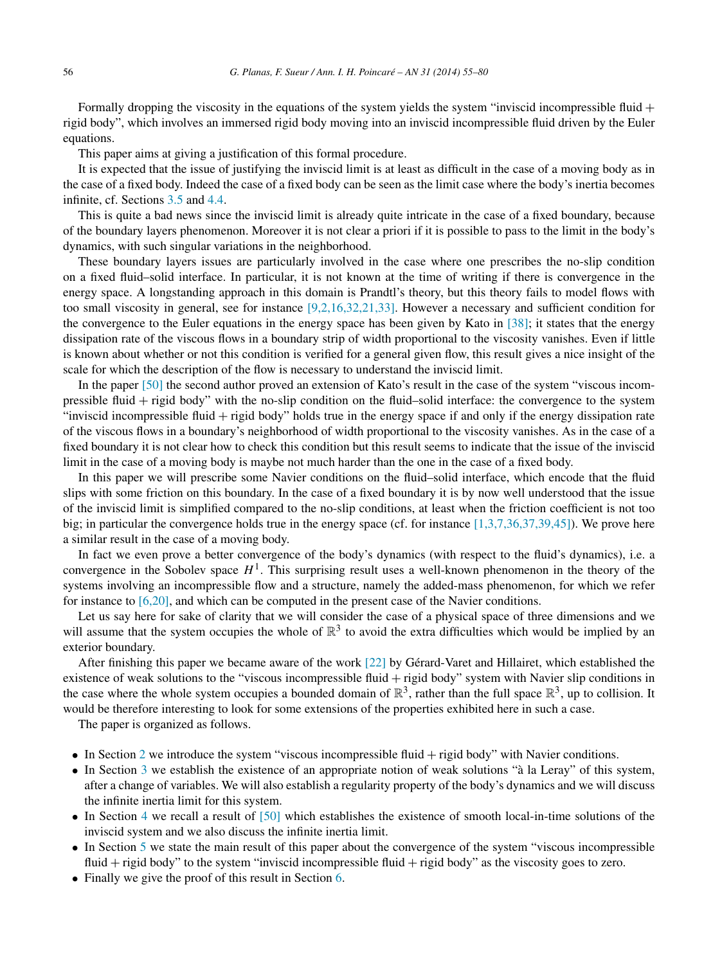Formally dropping the viscosity in the equations of the system yields the system "inviscid incompressible fluid  $+$ rigid body", which involves an immersed rigid body moving into an inviscid incompressible fluid driven by the Euler equations.

This paper aims at giving a justification of this formal procedure.

It is expected that the issue of justifying the inviscid limit is at least as difficult in the case of a moving body as in the case of a fixed body. Indeed the case of a fixed body can be seen as the limit case where the body's inertia becomes infinite, cf. Sections [3.5](#page-13-0) and [4.4.](#page-17-0)

This is quite a bad news since the inviscid limit is already quite intricate in the case of a fixed boundary, because of the boundary layers phenomenon. Moreover it is not clear a priori if it is possible to pass to the limit in the body's dynamics, with such singular variations in the neighborhood.

These boundary layers issues are particularly involved in the case where one prescribes the no-slip condition on a fixed fluid–solid interface. In particular, it is not known at the time of writing if there is convergence in the energy space. A longstanding approach in this domain is Prandtl's theory, but this theory fails to model flows with too small viscosity in general, see for instance [\[9,2,16,32,21,33\].](#page-23-0) However a necessary and sufficient condition for the convergence to the Euler equations in the energy space has been given by Kato in [\[38\];](#page-24-0) it states that the energy dissipation rate of the viscous flows in a boundary strip of width proportional to the viscosity vanishes. Even if little is known about whether or not this condition is verified for a general given flow, this result gives a nice insight of the scale for which the description of the flow is necessary to understand the inviscid limit.

In the paper [\[50\]](#page-24-0) the second author proved an extension of Kato's result in the case of the system "viscous incompressible fluid + rigid body" with the no-slip condition on the fluid–solid interface: the convergence to the system "inviscid incompressible fluid  $+$  rigid body" holds true in the energy space if and only if the energy dissipation rate of the viscous flows in a boundary's neighborhood of width proportional to the viscosity vanishes. As in the case of a fixed boundary it is not clear how to check this condition but this result seems to indicate that the issue of the inviscid limit in the case of a moving body is maybe not much harder than the one in the case of a fixed body.

In this paper we will prescribe some Navier conditions on the fluid–solid interface, which encode that the fluid slips with some friction on this boundary. In the case of a fixed boundary it is by now well understood that the issue of the inviscid limit is simplified compared to the no-slip conditions, at least when the friction coefficient is not too big; in particular the convergence holds true in the energy space (cf. for instance  $[1,3,7,36,37,39,45]$ ). We prove here a similar result in the case of a moving body.

In fact we even prove a better convergence of the body's dynamics (with respect to the fluid's dynamics), i.e. a convergence in the Sobolev space  $H<sup>1</sup>$ . This surprising result uses a well-known phenomenon in the theory of the systems involving an incompressible flow and a structure, namely the added-mass phenomenon, for which we refer for instance to [\[6,20\],](#page-23-0) and which can be computed in the present case of the Navier conditions.

Let us say here for sake of clarity that we will consider the case of a physical space of three dimensions and we will assume that the system occupies the whole of  $\mathbb{R}^3$  to avoid the extra difficulties which would be implied by an exterior boundary.

After finishing this paper we became aware of the work [\[22\]](#page-24-0) by Gérard-Varet and Hillairet, which established the existence of weak solutions to the "viscous incompressible fluid  $+$  rigid body" system with Navier slip conditions in the case where the whole system occupies a bounded domain of  $\mathbb{R}^3$ , rather than the full space  $\mathbb{R}^3$ , up to collision. It would be therefore interesting to look for some extensions of the properties exhibited here in such a case.

The paper is organized as follows.

- In Section [2](#page-2-0) we introduce the system "viscous incompressible fluid  $+$  rigid body" with Navier conditions.
- In Section [3](#page-3-0) we establish the existence of an appropriate notion of weak solutions "à la Leray" of this system, after a change of variables. We will also establish a regularity property of the body's dynamics and we will discuss the infinite inertia limit for this system.
- In Section [4](#page-15-0) we recall a result of [\[50\]](#page-24-0) which establishes the existence of smooth local-in-time solutions of the inviscid system and we also discuss the infinite inertia limit.
- In Section [5](#page-19-0) we state the main result of this paper about the convergence of the system "viscous incompressible fluid + rigid body" to the system "inviscid incompressible fluid + rigid body" as the viscosity goes to zero.
- Finally we give the proof of this result in Section [6.](#page-20-0)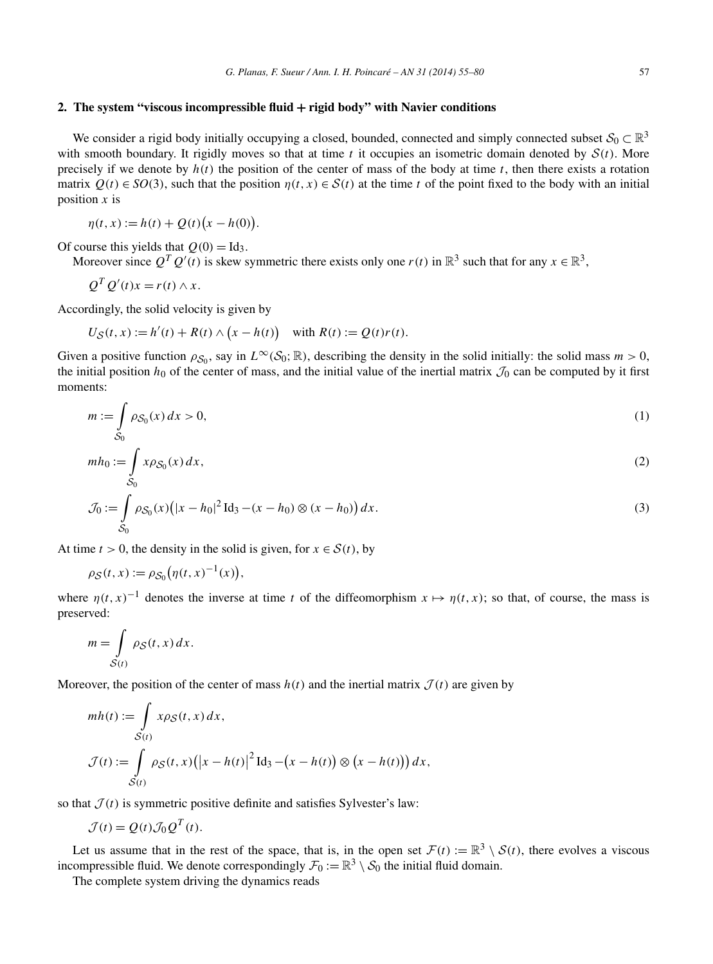#### <span id="page-2-0"></span>**2. The system "viscous incompressible fluid + rigid body" with Navier conditions**

We consider a rigid body initially occupying a closed, bounded, connected and simply connected subset  $S_0 \subset \mathbb{R}^3$ with smooth boundary. It rigidly moves so that at time  $t$  it occupies an isometric domain denoted by  $S(t)$ . More precisely if we denote by  $h(t)$  the position of the center of mass of the body at time  $t$ , then there exists a rotation matrix  $Q(t) \in SO(3)$ , such that the position  $\eta(t, x) \in S(t)$  at the time *t* of the point fixed to the body with an initial position *x* is

$$
\eta(t, x) := h(t) + Q(t)(x - h(0)).
$$

Of course this yields that  $O(0) = Id_3$ .

Moreover since  $Q^T Q'(t)$  is skew symmetric there exists only one  $r(t)$  in  $\mathbb{R}^3$  such that for any  $x \in \mathbb{R}^3$ ,

$$
Q^T Q'(t)x = r(t) \wedge x.
$$

Accordingly, the solid velocity is given by

$$
U_{\mathcal{S}}(t,x) := h'(t) + R(t) \wedge (x - h(t)) \quad \text{with } R(t) := Q(t)r(t).
$$

Given a positive function  $\rho_{S_0}$ , say in  $L^\infty(S_0; \mathbb{R})$ , describing the density in the solid initially: the solid mass  $m > 0$ , the initial position  $h_0$  of the center of mass, and the initial value of the inertial matrix  $\mathcal{J}_0$  can be computed by it first moments:

$$
m := \int_{S_0} \rho_{S_0}(x) dx > 0,
$$
\n(1)

$$
mh_0 := \int\limits_{S_0} x \rho_{S_0}(x) dx,
$$
\n(2)

$$
\mathcal{J}_0 := \int_{\mathcal{S}_0} \rho_{\mathcal{S}_0}(x) \left( |x - h_0|^2 \, \text{Id}_3 - (x - h_0) \otimes (x - h_0) \right) dx. \tag{3}
$$

At time  $t > 0$ , the density in the solid is given, for  $x \in S(t)$ , by

$$
\rho_{\mathcal{S}}(t,x) := \rho_{\mathcal{S}_0}\big(\eta(t,x)^{-1}(x)\big),\,
$$

where  $\eta(t, x)^{-1}$  denotes the inverse at time *t* of the diffeomorphism  $x \mapsto \eta(t, x)$ ; so that, of course, the mass is preserved:

$$
m = \int\limits_{\mathcal{S}(t)} \rho_{\mathcal{S}}(t,x) \, dx.
$$

Moreover, the position of the center of mass  $h(t)$  and the inertial matrix  $\mathcal{J}(t)$  are given by

$$
mh(t) := \int_{S(t)} x \rho_S(t, x) dx,
$$
  
\n
$$
\mathcal{J}(t) := \int_{S(t)} \rho_S(t, x) (|x - h(t)|^2 \operatorname{Id}_3 - (x - h(t)) \otimes (x - h(t))) dx,
$$

so that  $\mathcal{J}(t)$  is symmetric positive definite and satisfies Sylvester's law:

$$
\mathcal{J}(t) = Q(t)\mathcal{J}_0 Q^T(t).
$$

Let us assume that in the rest of the space, that is, in the open set  $\mathcal{F}(t) := \mathbb{R}^3 \setminus \mathcal{S}(t)$ , there evolves a viscous incompressible fluid. We denote correspondingly  $\mathcal{F}_0 := \mathbb{R}^3 \setminus \mathcal{S}_0$  the initial fluid domain.

The complete system driving the dynamics reads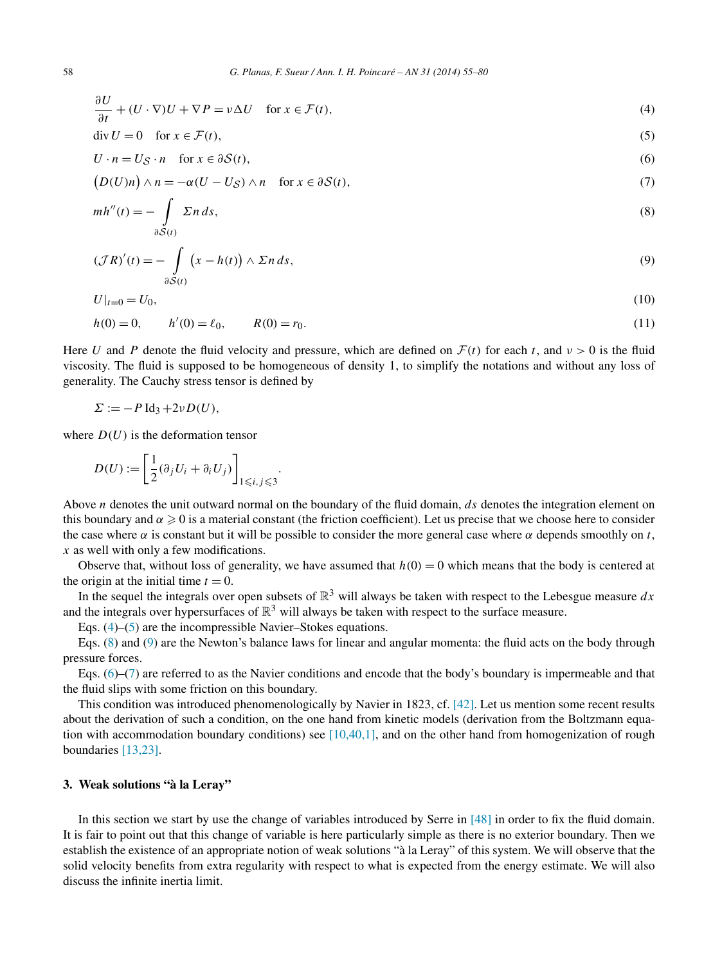$$
\frac{\partial U}{\partial t} + (U \cdot \nabla)U + \nabla P = v\Delta U \quad \text{for } x \in \mathcal{F}(t),\tag{4}
$$

$$
\operatorname{div} U = 0 \quad \text{for } x \in \mathcal{F}(t),\tag{5}
$$

$$
U \cdot n = U_{\mathcal{S}} \cdot n \quad \text{for } x \in \partial \mathcal{S}(t),\tag{6}
$$

$$
(D(U)n) \wedge n = -\alpha(U - U_{\mathcal{S}}) \wedge n \quad \text{for } x \in \partial \mathcal{S}(t), \tag{7}
$$

$$
mh''(t) = -\int\limits_{\partial S(t)} \Sigma n \, ds,\tag{8}
$$

$$
(\mathcal{J}R)'(t) = -\int_{\mathbb{R}^2} (x - h(t)) \wedge \Sigma n \, ds,\tag{9}
$$

$$
U|_{t=0} = U_0,\tag{10}
$$

$$
h(0) = 0, \qquad h'(0) = \ell_0, \qquad R(0) = r_0. \tag{11}
$$

Here *U* and *P* denote the fluid velocity and pressure, which are defined on  $\mathcal{F}(t)$  for each *t*, and  $\nu > 0$  is the fluid viscosity. The fluid is supposed to be homogeneous of density 1, to simplify the notations and without any loss of generality. The Cauchy stress tensor is defined by

$$
\Sigma := -P \operatorname{Id}_3 + 2\nu D(U),
$$

where  $D(U)$  is the deformation tensor

$$
D(U) := \left[\frac{1}{2}(\partial_j U_i + \partial_i U_j)\right]_{1 \leq i,j \leq 3}
$$

Above *n* denotes the unit outward normal on the boundary of the fluid domain, *ds* denotes the integration element on this boundary and  $\alpha \geqslant 0$  is a material constant (the friction coefficient). Let us precise that we choose here to consider the case where  $\alpha$  is constant but it will be possible to consider the more general case where  $\alpha$  depends smoothly on *t*, *x* as well with only a few modifications.

Observe that, without loss of generality, we have assumed that  $h(0) = 0$  which means that the body is centered at the origin at the initial time  $t = 0$ .

In the sequel the integrals over open subsets of  $\mathbb{R}^3$  will always be taken with respect to the Lebesgue measure dx and the integrals over hypersurfaces of  $\mathbb{R}^3$  will always be taken with respect to the surface measure.

Eqs. (4)–(5) are the incompressible Navier–Stokes equations.

*.*

Eqs. (8) and (9) are the Newton's balance laws for linear and angular momenta: the fluid acts on the body through pressure forces.

Eqs. (6)–(7) are referred to as the Navier conditions and encode that the body's boundary is impermeable and that the fluid slips with some friction on this boundary.

This condition was introduced phenomenologically by Navier in 1823, cf. [\[42\].](#page-24-0) Let us mention some recent results about the derivation of such a condition, on the one hand from kinetic models (derivation from the Boltzmann equation with accommodation boundary conditions) see [\[10,40,1\],](#page-23-0) and on the other hand from homogenization of rough boundaries [\[13,23\].](#page-24-0)

### **3. Weak solutions "à la Leray"**

In this section we start by use the change of variables introduced by Serre in [\[48\]](#page-24-0) in order to fix the fluid domain. It is fair to point out that this change of variable is here particularly simple as there is no exterior boundary. Then we establish the existence of an appropriate notion of weak solutions "à la Leray" of this system. We will observe that the solid velocity benefits from extra regularity with respect to what is expected from the energy estimate. We will also discuss the infinite inertia limit.

<span id="page-3-0"></span>*∂U*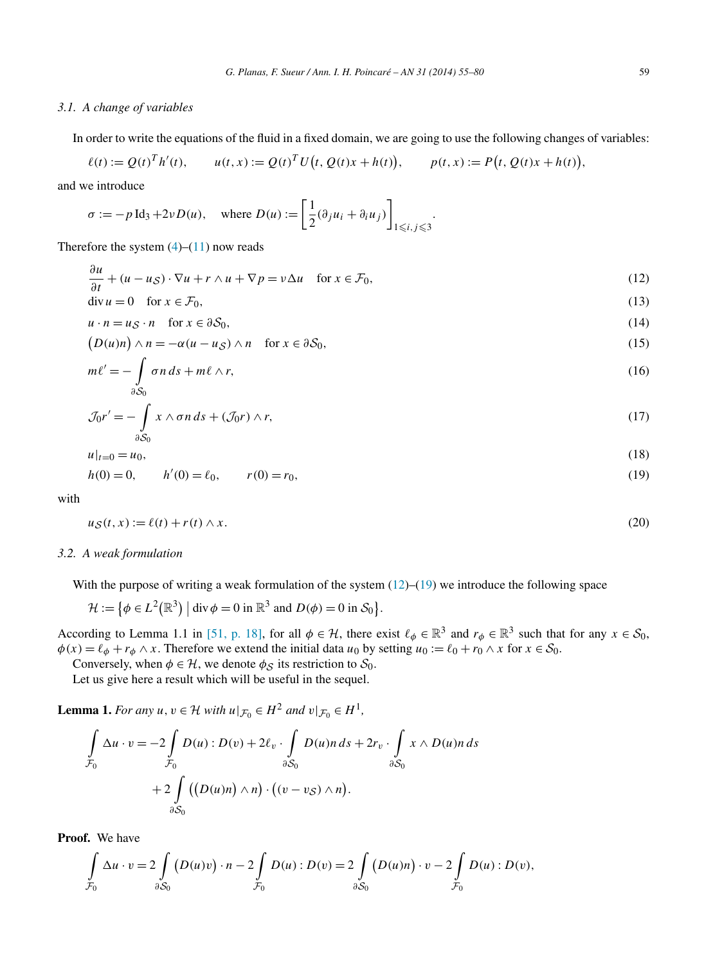#### <span id="page-4-0"></span>*3.1. A change of variables*

In order to write the equations of the fluid in a fixed domain, we are going to use the following changes of variables:

$$
\ell(t) := Q(t)^T h'(t), \qquad u(t, x) := Q(t)^T U(t, Q(t)x + h(t)), \qquad p(t, x) := P(t, Q(t)x + h(t)),
$$

and we introduce

$$
\sigma := -p \operatorname{Id}_3 + 2\nu D(u), \quad \text{where } D(u) := \left[\frac{1}{2}(\partial_j u_i + \partial_i u_j)\right]_{1 \leqslant i,j \leqslant 3}
$$

Therefore the system  $(4)$ – $(11)$  now reads

$$
\frac{\partial u}{\partial t} + (u - u_S) \cdot \nabla u + r \wedge u + \nabla p = v \Delta u \quad \text{for } x \in \mathcal{F}_0,
$$
\n(12)

*.*

$$
\operatorname{div} u = 0 \quad \text{for } x \in \mathcal{F}_0,\tag{13}
$$

$$
u \cdot n = u_{\mathcal{S}} \cdot n \quad \text{for } x \in \partial \mathcal{S}_0,\tag{14}
$$

$$
(D(u)n) \wedge n = -\alpha(u - u_{\mathcal{S}}) \wedge n \quad \text{for } x \in \partial S_0,
$$
\n(15)

$$
m\ell' = -\int_{\partial S_0} \sigma n \, ds + m\ell \wedge r,\tag{16}
$$

$$
\mathcal{J}_0 r' = -\int_{\partial S_0} x \wedge \sigma n \, ds + (\mathcal{J}_0 r) \wedge r,\tag{17}
$$

$$
u|_{t=0} = u_0,\tag{18}
$$

$$
h(0) = 0, \qquad h'(0) = \ell_0, \qquad r(0) = r_0,\tag{19}
$$

with

$$
u_{\mathcal{S}}(t,x) := \ell(t) + r(t) \wedge x. \tag{20}
$$

#### *3.2. A weak formulation*

With the purpose of writing a weak formulation of the system  $(12)$ – $(19)$  we introduce the following space

$$
\mathcal{H} := \left\{ \phi \in L^2(\mathbb{R}^3) \mid \text{div}\,\phi = 0 \text{ in } \mathbb{R}^3 \text{ and } D(\phi) = 0 \text{ in } \mathcal{S}_0 \right\}.
$$

According to Lemma 1.1 in [51, [p. 18\],](#page-24-0) for all  $\phi \in \mathcal{H}$ , there exist  $\ell_{\phi} \in \mathbb{R}^{3}$  and  $r_{\phi} \in \mathbb{R}^{3}$  such that for any  $x \in \mathcal{S}_{0}$ ,  $\phi(x) = \ell_{\phi} + r_{\phi} \wedge x$ . Therefore we extend the initial data *u*<sub>0</sub> by setting *u*<sub>0</sub> :=  $\ell_0 + r_0 \wedge x$  for  $x \in S_0$ .

Conversely, when  $\phi \in \mathcal{H}$ , we denote  $\phi_S$  its restriction to  $\mathcal{S}_0$ .

Let us give here a result which will be useful in the sequel.

**Lemma 1.** *For any*  $u, v \in \mathcal{H}$  *with*  $u|_{\mathcal{F}_0} \in H^2$  *and*  $v|_{\mathcal{F}_0} \in H^1$ *,* 

$$
\int_{\mathcal{F}_0} \Delta u \cdot v = -2 \int_{\mathcal{F}_0} D(u) : D(v) + 2\ell_v \cdot \int_{\partial \mathcal{S}_0} D(u) n \, ds + 2r_v \cdot \int_{\partial \mathcal{S}_0} x \wedge D(u) n \, ds \n+ 2 \int_{\partial \mathcal{S}_0} ((D(u)n) \wedge n) \cdot ((v - v_{\mathcal{S}}) \wedge n).
$$

**Proof.** We have

$$
\int_{\mathcal{F}_0} \Delta u \cdot v = 2 \int_{\partial \mathcal{S}_0} (D(u)v) \cdot n - 2 \int_{\mathcal{F}_0} D(u) : D(v) = 2 \int_{\partial \mathcal{S}_0} (D(u)n) \cdot v - 2 \int_{\mathcal{F}_0} D(u) : D(v),
$$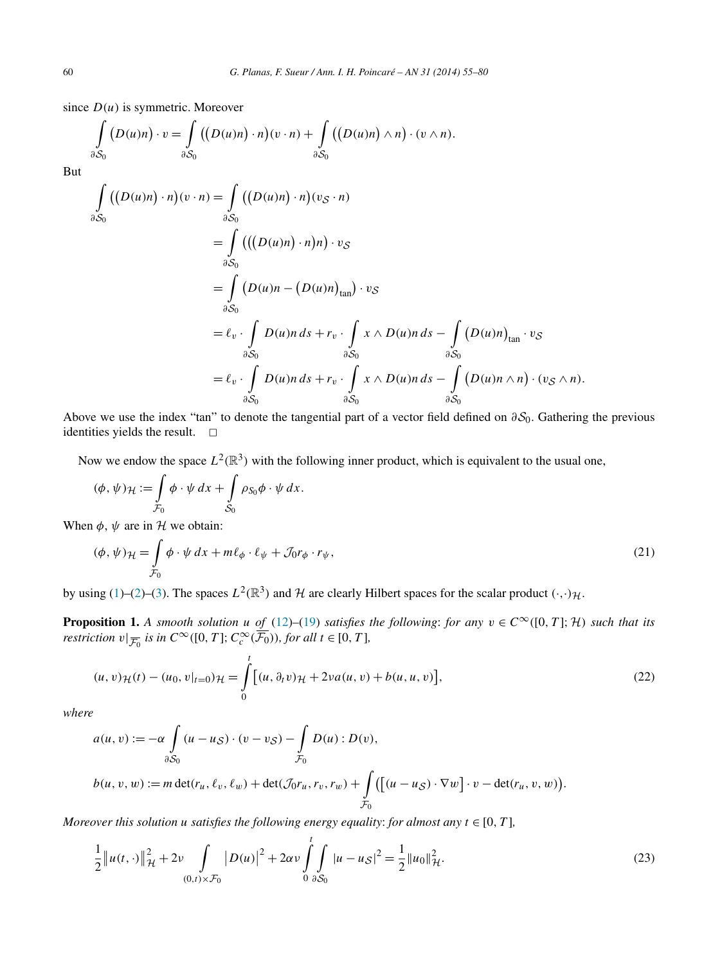<span id="page-5-0"></span>since  $D(u)$  is symmetric. Moreover

$$
\int_{\partial S_0} (D(u)n) \cdot v = \int_{\partial S_0} ((D(u)n) \cdot n)(v \cdot n) + \int_{\partial S_0} ((D(u)n) \wedge n) \cdot (v \wedge n).
$$

But

$$
\int_{\partial S_0} ((D(u)n) \cdot n)(v \cdot n) = \int_{\partial S_0} ((D(u)n) \cdot n)(v_S \cdot n)
$$
\n
$$
= \int_{\partial S_0} (((D(u)n) \cdot n)n) \cdot v_S
$$
\n
$$
= \int_{\partial S_0} (D(u)n - (D(u)n)_{tan}) \cdot v_S
$$
\n
$$
= \ell_v \cdot \int_{\partial S_0} D(u)n ds + r_v \cdot \int_{\partial S_0} x \wedge D(u)n ds - \int_{\partial S_0} (D(u)n)_{tan} \cdot v_S
$$
\n
$$
= \ell_v \cdot \int_{\partial S_0} D(u)n ds + r_v \cdot \int_{\partial S_0} x \wedge D(u)n ds - \int_{\partial S_0} (D(u)n \wedge n) \cdot (v_S \wedge n).
$$

Above we use the index "tan" to denote the tangential part of a vector field defined on  $\partial S_0$ . Gathering the previous identities yields the result.  $\Box$ 

Now we endow the space  $L^2(\mathbb{R}^3)$  with the following inner product, which is equivalent to the usual one,

$$
(\phi, \psi)_{\mathcal{H}} := \int\limits_{\mathcal{F}_0} \phi \cdot \psi \, dx + \int\limits_{\mathcal{S}_0} \rho_{S_0} \phi \cdot \psi \, dx.
$$

When  $\phi$ ,  $\psi$  are in  $\mathcal{H}$  we obtain:

$$
(\phi, \psi)_{\mathcal{H}} = \int\limits_{\mathcal{F}_0} \phi \cdot \psi \, dx + m\ell_{\phi} \cdot \ell_{\psi} + \mathcal{J}_0 r_{\phi} \cdot r_{\psi},\tag{21}
$$

by using [\(1\)](#page-2-0)–[\(2\)](#page-2-0)–[\(3\)](#page-2-0). The spaces  $L^2(\mathbb{R}^3)$  and H are clearly Hilbert spaces for the scalar product  $(\cdot, \cdot)_{\mathcal{H}}$ .

**Proposition 1.** *A smooth solution u* <u>of</u> [\(12\)](#page-4-0)–[\(19\)](#page-4-0) *satisfies the following*: *for any*  $v \in C^{\infty}([0, T]; \mathcal{H})$  *such that its restriction*  $v|_{\overline{\mathcal{F}_0}}$  *is in*  $C^{\infty}([0, T]; C_c^{\infty}(\overline{\mathcal{F}_0}))$ *, for all*  $t \in [0, T]$ *,* 

$$
(u, v)_{\mathcal{H}}(t) - (u_0, v|_{t=0})_{\mathcal{H}} = \int_{0}^{t} [(u, \partial_t v)_{\mathcal{H}} + 2va(u, v) + b(u, u, v)],
$$
\n(22)

*where*

$$
a(u, v) := -\alpha \int_{\partial S_0} (u - u_S) \cdot (v - v_S) - \int_{\mathcal{F}_0} D(u) : D(v),
$$
  

$$
b(u, v, w) := m \det(r_u, \ell_v, \ell_w) + \det(\mathcal{J}_0 r_u, r_v, r_w) + \int_{\mathcal{F}_0} \left( \left[ (u - u_S) \cdot \nabla w \right] \cdot v - \det(r_u, v, w) \right).
$$

*Moreover this solution u satisfies the following energy equality: for almost any*  $t \in [0, T]$ *,* 

$$
\frac{1}{2} ||u(t, \cdot)||_{\mathcal{H}}^{2} + 2\nu \int_{(0, t) \times \mathcal{F}_{0}} |D(u)|^{2} + 2\alpha\nu \int_{0}^{t} \int_{\partial S_{0}} |u - u_{S}|^{2} = \frac{1}{2} ||u_{0}||_{\mathcal{H}}^{2}.
$$
\n(23)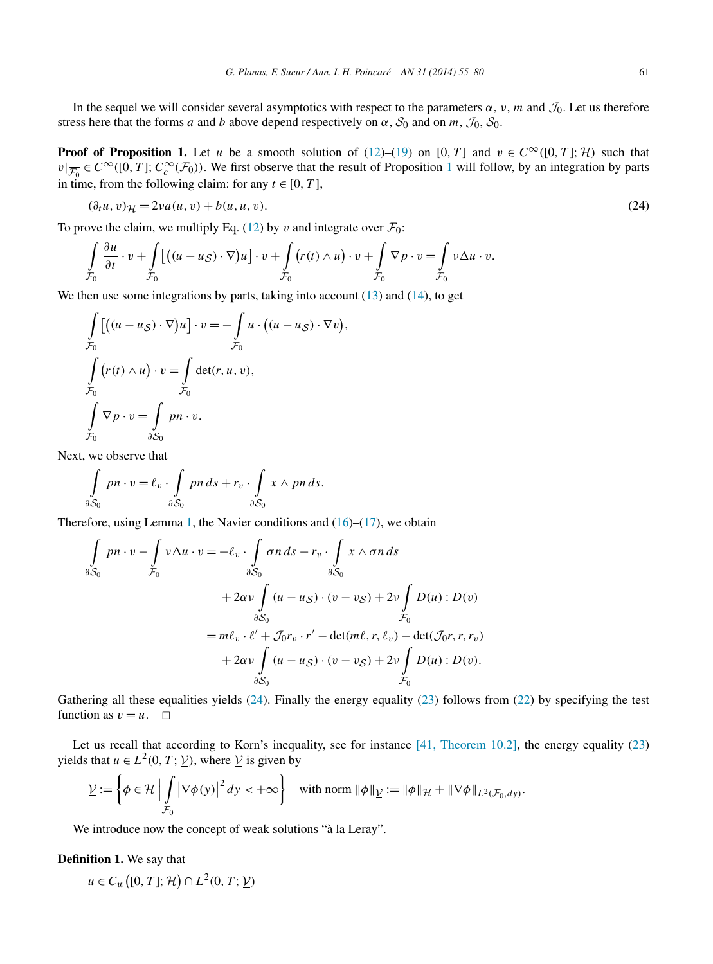In the sequel we will consider several asymptotics with respect to the parameters  $\alpha$ ,  $\nu$ ,  $m$  and  $\mathcal{J}_0$ . Let us therefore stress here that the forms *a* and *b* above depend respectively on  $\alpha$ ,  $S_0$  and on *m*,  $\mathcal{J}_0$ ,  $S_0$ .

**Proof of Proposition 1.** Let *u* be a smooth solution of [\(12\)](#page-4-0)–[\(19\)](#page-4-0) on [0*, T*] and  $v \in C^{\infty}([0, T]; \mathcal{H})$  such that  $v|_{\overline{\mathcal{F}}_0} \in C^{\infty}([0, T]; C_c^{\infty}(\overline{\mathcal{F}_0}))$ . We first observe that the result of Proposition [1](#page-5-0) will follow, by an integration by parts in time, from the following claim: for any  $t \in [0, T]$ ,

$$
(\partial_t u, v)_{\mathcal{H}} = 2\nu a(u, v) + b(u, u, v). \tag{24}
$$

To prove the claim, we multiply Eq. [\(12\)](#page-4-0) by *v* and integrate over  $\mathcal{F}_0$ :

$$
\int_{\mathcal{F}_0} \frac{\partial u}{\partial t} \cdot v + \int_{\mathcal{F}_0} \left[ \left( (u - u_S) \cdot \nabla \right) u \right] \cdot v + \int_{\mathcal{F}_0} \left( r(t) \wedge u \right) \cdot v + \int_{\mathcal{F}_0} \nabla p \cdot v = \int_{\mathcal{F}_0} v \Delta u \cdot v.
$$

We then use some integrations by parts, taking into account  $(13)$  and  $(14)$ , to get

$$
\int_{\mathcal{F}_0} \left[ \left( (u - u_S) \cdot \nabla \right) u \right] \cdot v = - \int_{\mathcal{F}_0} u \cdot \left( (u - u_S) \cdot \nabla v \right),
$$
\n
$$
\int_{\mathcal{F}_0} \left( r(t) \wedge u \right) \cdot v = \int_{\mathcal{F}_0} \det(r, u, v),
$$
\n
$$
\int_{\mathcal{F}_0} \nabla p \cdot v = \int_{\partial \mathcal{S}_0} p n \cdot v.
$$

Next, we observe that

$$
\int_{\partial S_0} pn \cdot v = \ell_v \cdot \int_{\partial S_0} pn ds + r_v \cdot \int_{\partial S_0} x \wedge pn ds.
$$

Therefore, using Lemma [1,](#page-4-0) the Navier conditions and  $(16)$ – $(17)$ , we obtain

$$
\int_{\partial S_0} pn \cdot v - \int_{\mathcal{F}_0} v \Delta u \cdot v = -\ell_v \cdot \int_{\partial S_0} \sigma n \, ds - r_v \cdot \int_{\partial S_0} x \wedge \sigma n \, ds
$$
  
+ 2\alpha v \int\_{\partial S\_0} (u - u\_S) \cdot (v - v\_S) + 2v \int\_{\mathcal{F}\_0} D(u) : D(v)  
= m\ell\_v \cdot \ell' + \mathcal{J}\_0 r\_v \cdot r' - \det(m\ell, r, \ell\_v) - \det(\mathcal{J}\_0 r, r, r\_v)  
+ 2\alpha v \int\_{\partial S\_0} (u - u\_S) \cdot (v - v\_S) + 2v \int\_{\mathcal{F}\_0} D(u) : D(v).

Gathering all these equalities yields (24). Finally the energy equality [\(23\)](#page-5-0) follows from [\(22\)](#page-5-0) by specifying the test function as  $v = u$ .  $\Box$ 

Let us recall that according to Korn's inequality, see for instance  $[41,$  Theorem 10.2], the energy equality [\(23\)](#page-5-0) yields that *u* ∈  $L^2$ (0*, T*;  $\mathcal{V}$ ), where  $\mathcal{V}$  is given by

$$
\underline{\mathcal{V}} := \left\{ \phi \in \mathcal{H} \left| \int\limits_{\mathcal{F}_0} \left| \nabla \phi(y) \right|^2 dy < +\infty \right\} \quad \text{with norm } \|\phi\|_{\underline{\mathcal{V}}} := \|\phi\|_{\mathcal{H}} + \|\nabla \phi\|_{L^2(\mathcal{F}_0, dy)}.
$$

We introduce now the concept of weak solutions "à la Leray".

#### **Definition 1.** We say that

 $u \in C_w([0, T]; \mathcal{H}) \cap L^2(0, T; \underline{V})$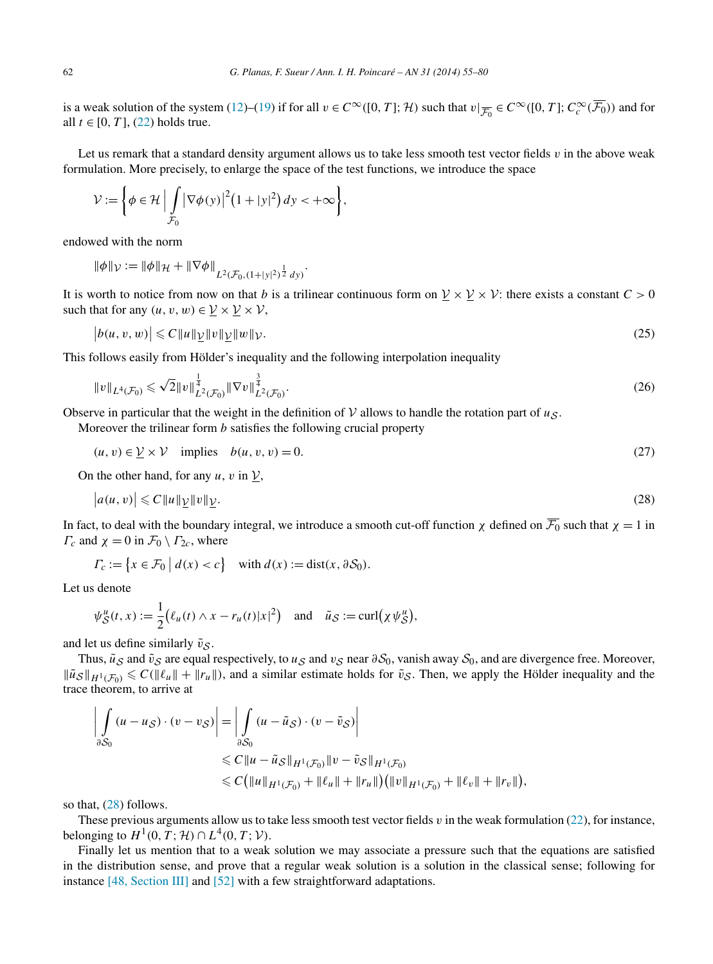<span id="page-7-0"></span>is a weak solution of the system [\(12\)](#page-4-0)–[\(19\)](#page-4-0) if for all  $v \in C^{\infty}([0, T]; \mathcal{H})$  such that  $v|_{\overline{\mathcal{F}_0}} \in C^{\infty}([0, T]; C_c^{\infty}(\overline{\mathcal{F}_0}))$  and for all  $t \in [0, T]$ ,  $(22)$  holds true.

Let us remark that a standard density argument allows us to take less smooth test vector fields  $v$  in the above weak formulation. More precisely, to enlarge the space of the test functions, we introduce the space

$$
\mathcal{V} := \left\{ \phi \in \mathcal{H} \, \Big| \, \int\limits_{\mathcal{F}_0} \big| \nabla \phi(y) \big|^2 \big( 1 + |y|^2 \big) \, dy < +\infty \right\},\
$$

endowed with the norm

$$
\|\phi\|_{\mathcal{V}} := \|\phi\|_{\mathcal{H}} + \|\nabla\phi\|_{L^2(\mathcal{F}_0, (1+|y|^2)^{\frac{1}{2}}dy)}.
$$

It is worth to notice from now on that *b* is a trilinear continuous form on  $\underline{V} \times \underline{V} \times \overline{V}$ : there exists a constant  $C > 0$ such that for any  $(u, v, w) \in \underline{\mathcal{V}} \times \underline{\mathcal{V}} \times \mathcal{V}$ ,

$$
|b(u, v, w)| \leq C ||u||_{\underline{V}} ||v||_{\underline{V}} ||w||_{V}.
$$
\n(25)

This follows easily from Hölder's inequality and the following interpolation inequality

$$
||v||_{L^{4}(\mathcal{F}_{0})} \leqslant \sqrt{2}||v||_{L^{2}(\mathcal{F}_{0})}^{\frac{1}{4}}||\nabla v||_{L^{2}(\mathcal{F}_{0})}^{\frac{3}{4}}.
$$
\n
$$
(26)
$$

Observe in particular that the weight in the definition of  $V$  allows to handle the rotation part of  $u<sub>S</sub>$ .

Moreover the trilinear form *b* satisfies the following crucial property

$$
(u, v) \in \underline{\mathcal{V}} \times \mathcal{V} \quad \text{implies} \quad b(u, v, v) = 0. \tag{27}
$$

On the other hand, for any  $u$ ,  $v$  in  $V$ ,

$$
|a(u,v)| \leqslant C \|u\|_{\underline{V}} \|v\|_{\underline{V}}.
$$
\n<sup>(28)</sup>

In fact, to deal with the boundary integral, we introduce a smooth cut-off function  $\chi$  defined on  $\overline{\mathcal{F}_0}$  such that  $\chi = 1$  in *Γ<sub>c</sub>* and  $\chi = 0$  in  $\mathcal{F}_0 \setminus \mathcal{F}_{2c}$ , where

$$
\Gamma_c := \{ x \in \mathcal{F}_0 \mid d(x) < c \} \quad \text{with } d(x) := \text{dist}(x, \partial \mathcal{S}_0).
$$

Let us denote

$$
\psi_{\mathcal{S}}^u(t,x) := \frac{1}{2} \big( \ell_u(t) \wedge x - r_u(t) |x|^2 \big) \quad \text{and} \quad \tilde{u}_{\mathcal{S}} := \text{curl} \big( \chi \psi_{\mathcal{S}}^u \big),
$$

and let us define similarly  $\tilde{v}_\mathcal{S}$ .

Thus,  $\tilde{u}_S$  and  $\tilde{v}_S$  are equal respectively, to  $u_S$  and  $v_S$  near  $\partial S_0$ , vanish away  $S_0$ , and are divergence free. Moreover,  $\|\tilde{u}_{\mathcal{S}}\|_{H^1(\mathcal{F}_0)} \leq C(\|\ell_u\| + \|r_u\|)$ , and a similar estimate holds for  $\tilde{v}_{\mathcal{S}}$ . Then, we apply the Hölder inequality and the trace theorem, to arrive at

$$
\left| \int_{\partial S_0} (u - u_S) \cdot (v - v_S) \right| = \left| \int_{\partial S_0} (u - \tilde{u}_S) \cdot (v - \tilde{v}_S) \right|
$$
  
\$\leq C ||u - \tilde{u}\_S||\_{H^1(\mathcal{F}\_0)} ||v - \tilde{v}\_S||\_{H^1(\mathcal{F}\_0)}  
\$\leq C (||u||\_{H^1(\mathcal{F}\_0)} + ||\ell\_u|| + ||r\_u||) (||v||\_{H^1(\mathcal{F}\_0)} + ||\ell\_v|| + ||r\_v||),

so that, (28) follows.

These previous arguments allow us to take less smooth test vector fields *v* in the weak formulation [\(22\)](#page-5-0), for instance, belonging to  $H^1(0, T; \mathcal{H}) \cap L^4(0, T; \mathcal{V})$ .

Finally let us mention that to a weak solution we may associate a pressure such that the equations are satisfied in the distribution sense, and prove that a regular weak solution is a solution in the classical sense; following for instance [\[48, Section III\]](#page-24-0) and [\[52\]](#page-24-0) with a few straightforward adaptations.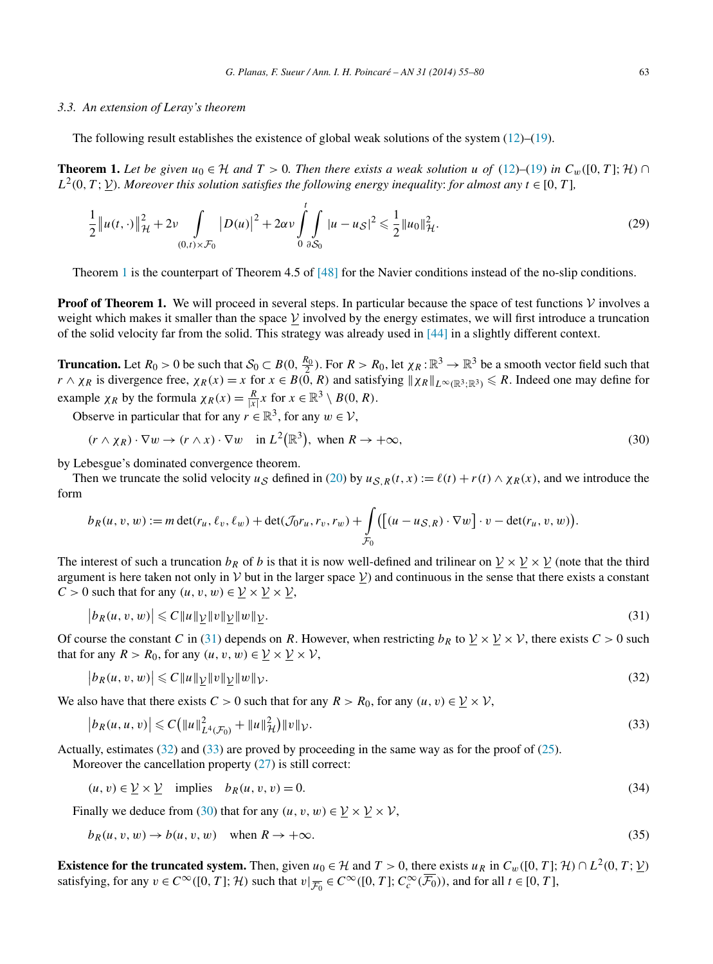#### <span id="page-8-0"></span>*3.3. An extension of Leray's theorem*

The following result establishes the existence of global weak solutions of the system  $(12)$ – $(19)$ .

**Theorem 1.** Let be given  $u_0 \in \mathcal{H}$  and  $T > 0$ . Then there exists a weak solution u of [\(12\)](#page-4-0)–[\(19\)](#page-4-0) in  $C_w([0, T]; \mathcal{H}) \cap$  $L^2(0,T;V)$ *. Moreover this solution satisfies the following energy inequality: <i>for almost any*  $t \in [0,T]$ *,* 

$$
\frac{1}{2} \|u(t, \cdot)\|_{\mathcal{H}}^2 + 2\nu \int_{(0,t)\times\mathcal{F}_0} |D(u)|^2 + 2\alpha \nu \int_0^t \int_{\partial\mathcal{S}_0} |u - u_{\mathcal{S}}|^2 \leq \frac{1}{2} \|u_0\|_{\mathcal{H}}^2.
$$
\n(29)

Theorem 1 is the counterpart of Theorem 4.5 of [\[48\]](#page-24-0) for the Navier conditions instead of the no-slip conditions.

**Proof of Theorem 1.** We will proceed in several steps. In particular because the space of test functions  $V$  involves a weight which makes it smaller than the space  $V$  involved by the energy estimates, we will first introduce a truncation of the solid velocity far from the solid. This strategy was already used in [\[44\]](#page-24-0) in a slightly different context.

**Truncation.** Let  $R_0 > 0$  be such that  $S_0 \subset B(0, \frac{R_0}{2})$ . For  $R > R_0$ , let  $\chi_R : \mathbb{R}^3 \to \mathbb{R}^3$  be a smooth vector field such that  $r \wedge \chi_R$  is divergence free,  $\chi_R(x) = x$  for  $x \in B(0, R)$  and satisfying  $\|\chi_R\|_{L^\infty(\mathbb{R}^3; \mathbb{R}^3)} \le R$ . Indeed one may define for example  $\chi_R$  by the formula  $\chi_R(x) = \frac{R}{|x|} x$  for  $x \in \mathbb{R}^3 \setminus B(0, R)$ .

Observe in particular that for any  $r \in \mathbb{R}^3$ , for any  $w \in \mathcal{V}$ ,

$$
(r \wedge \chi_R) \cdot \nabla w \to (r \wedge x) \cdot \nabla w \quad \text{in } L^2(\mathbb{R}^3), \text{ when } R \to +\infty,
$$
\n
$$
(30)
$$

by Lebesgue's dominated convergence theorem.

 $\overline{1}$ 

Then we truncate the solid velocity *u<sub>S</sub>* defined in [\(20\)](#page-4-0) by  $u_{S,R}(t, x) := \ell(t) + r(t) \wedge \chi_R(x)$ , and we introduce the form

$$
b_R(u, v, w) := m \det(r_u, \ell_v, \ell_w) + \det(\mathcal{J}_0 r_u, r_v, r_w) + \int_{\mathcal{F}_0} \left( \left[ (u - u_{\mathcal{S}, R}) \cdot \nabla w \right] \cdot v - \det(r_u, v, w) \right).
$$

The interest of such a truncation  $b_R$  of *b* is that it is now well-defined and trilinear on  $\underline{V} \times \underline{V} \times \underline{V}$  (note that the third argument is here taken not only in V but in the larger space  $\underline{V}$ ) and continuous in the sense that there exists a constant *C* > 0 such that for any  $(u, v, w) \in \underline{V} \times \underline{V} \times \underline{V}$ ,

$$
\left|b_R(u,v,w)\right| \leqslant C \|u\|_{\underline{V}} \|v\|_{\underline{V}} \|w\|_{\underline{V}}.
$$
\n(31)

Of course the constant *C* in (31) depends on *R*. However, when restricting  $b_R$  to  $\underline{V} \times \underline{V} \times V$ , there exists  $C > 0$  such that for any  $R > R_0$ , for any  $(u, v, w) \in V \times V \times V$ ,

$$
\left|b_R(u,v,w)\right| \leqslant C \|u\|_{\underline{\mathcal{V}}}\|v\|_{\underline{\mathcal{V}}}\|w\|_{\mathcal{V}}.\tag{32}
$$

We also have that there exists  $C > 0$  such that for any  $R > R_0$ , for any  $(u, v) \in V \times V$ ,

$$
\left|b_R(u, u, v)\right| \leqslant C\left(\|u\|_{L^4(\mathcal{F}_0)}^2 + \|u\|_{\mathcal{H}}^2\right) \|v\|_{\mathcal{V}}.\tag{33}
$$

Actually, estimates (32) and (33) are proved by proceeding in the same way as for the proof of [\(25\)](#page-7-0).

Moreover the cancellation property [\(27\)](#page-7-0) is still correct:

$$
(u, v) \in \underline{\mathcal{V}} \times \underline{\mathcal{V}} \quad \text{implies} \quad b_R(u, v, v) = 0. \tag{34}
$$

Finally we deduce from (30) that for any  $(u, v, w) \in V \times V \times V$ ,

$$
b_R(u, v, w) \to b(u, v, w) \quad \text{when } R \to +\infty. \tag{35}
$$

**Existence for the truncated system.** Then, given  $u_0 \in \mathcal{H}$  and  $T > 0$ , there exists  $u_R$  in  $C_w([0, T]; \mathcal{H}) \cap L^2(0, T; \mathcal{Y})$ satisfying, for any  $v \in C^{\infty}([0, T]; \mathcal{H})$  such that  $v|_{\overline{\mathcal{F}_0}} \in C^{\infty}([0, T]; C_c^{\infty}(\overline{\mathcal{F}_0}))$ , and for all  $t \in [0, T]$ ,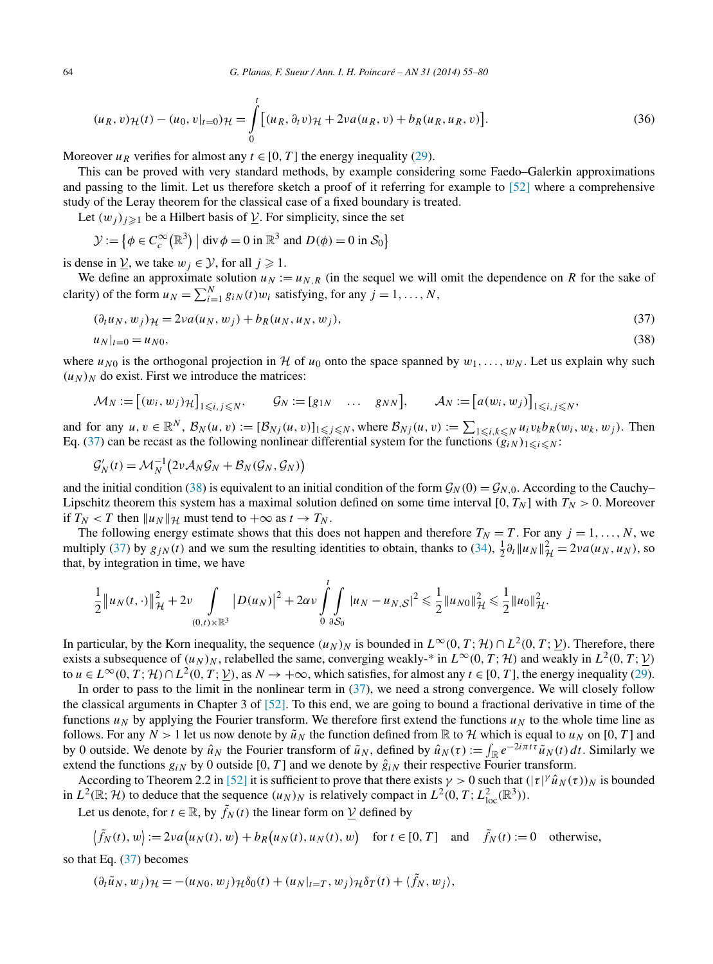<span id="page-9-0"></span>
$$
(u_R, v)_{\mathcal{H}}(t) - (u_0, v|_{t=0})_{\mathcal{H}} = \int_{0}^{t} [(u_R, \partial_t v)_{\mathcal{H}} + 2v a(u_R, v) + b_R(u_R, u_R, v)].
$$
\n(36)

Moreover  $u_R$  verifies for almost any  $t \in [0, T]$  the energy inequality [\(29\)](#page-8-0).

This can be proved with very standard methods, by example considering some Faedo–Galerkin approximations and passing to the limit. Let us therefore sketch a proof of it referring for example to [\[52\]](#page-24-0) where a comprehensive study of the Leray theorem for the classical case of a fixed boundary is treated.

Let  $(w_j)_{j\geq 1}$  be a Hilbert basis of  $\underline{V}$ . For simplicity, since the set

$$
\mathcal{Y} := \left\{ \phi \in C_c^{\infty}(\mathbb{R}^3) \mid \text{div}\,\phi = 0 \text{ in } \mathbb{R}^3 \text{ and } D(\phi) = 0 \text{ in } \mathcal{S}_0 \right\}
$$

is dense in  $\underline{V}$ , we take  $w_j \in \mathcal{Y}$ , for all  $j \ge 1$ .

We define an approximate solution  $u_N := u_{N,R}$  (in the sequel we will omit the dependence on *R* for the sake of clarity) of the form  $u_N = \sum_{i=1}^N g_{iN}(t)w_i$  satisfying, for any  $j = 1, ..., N$ ,

$$
(\partial_t u_N, w_j)_{\mathcal{H}} = 2\nu a(u_N, w_j) + b_R(u_N, u_N, w_j),\tag{37}
$$

$$
u_N|_{t=0} = u_{N0},\tag{38}
$$

where  $u_{N0}$  is the orthogonal projection in H of  $u_0$  onto the space spanned by  $w_1, \ldots, w_N$ . Let us explain why such  $(u_N)_N$  do exist. First we introduce the matrices:

$$
\mathcal{M}_N := [(w_i, w_j)_{\mathcal{H}}]_{1 \leqslant i,j \leqslant N}, \qquad \mathcal{G}_N := [g_{1N}, \dots, g_{NN}], \qquad \mathcal{A}_N := [a(w_i, w_j)]_{1 \leqslant i,j \leqslant N},
$$

and for any  $u, v \in \mathbb{R}^N$ ,  $\mathcal{B}_N(u, v) := [\mathcal{B}_{N_j}(u, v)]_{1 \leqslant j \leqslant N}$ , where  $\mathcal{B}_{N_j}(u, v) := \sum_{1 \leqslant i, k \leqslant N} u_i v_k b_R(w_i, w_k, w_j)$ . Then Eq. (37) can be recast as the following nonlinear differential system for the functions  $(g_{iN})_{1 \leq i \leq N}$ :

$$
\mathcal{G}'_N(t) = \mathcal{M}_N^{-1} \big( 2v \mathcal{A}_N \mathcal{G}_N + \mathcal{B}_N(\mathcal{G}_N, \mathcal{G}_N) \big)
$$

and the initial condition (38) is equivalent to an initial condition of the form  $\mathcal{G}_N(0) = \mathcal{G}_{N,0}$ . According to the Cauchy– Lipschitz theorem this system has a maximal solution defined on some time interval  $[0, T_N]$  with  $T_N > 0$ . Moreover if  $T_N < T$  then  $||u_N||_{\mathcal{H}}$  must tend to  $+\infty$  as  $t \to T_N$ .

The following energy estimate shows that this does not happen and therefore  $T_N = T$ . For any  $j = 1, \ldots, N$ , we multiply (37) by  $g_{jN}(t)$  and we sum the resulting identities to obtain, thanks to [\(34\)](#page-8-0),  $\frac{1}{2}\partial_t ||u_N||^2_{\mathcal{H}} = 2v a(u_N, u_N)$ , so that, by integration in time, we have

$$
\frac{1}{2} \|u_N(t,\cdot)\|_{\mathcal{H}}^2 + 2\nu \int_{(0,t)\times\mathbb{R}^3} |D(u_N)|^2 + 2\alpha \nu \int_0^t \int_{\partial S_0} |u_N - u_{N,S}|^2 \leq \frac{1}{2} \|u_N\|_{\mathcal{H}}^2 \leq \frac{1}{2} \|u_0\|_{\mathcal{H}}^2.
$$

In particular, by the Korn inequality, the sequence  $(u_N)_N$  is bounded in  $L^\infty(0,T;\mathcal{H}) \cap L^2(0,T;\mathcal{V})$ . Therefore, there exists a subsequence of  $(u_N)_N$ , relabelled the same, converging weakly-\* in  $L^{\infty}(0, T; \mathcal{H})$  and weakly in  $L^2(0, T; \mathcal{V})$ to  $u \in L^{\infty}(0, T; \mathcal{H}) \cap L^{2}(0, T; \mathcal{V})$ , as  $N \to +\infty$ , which satisfies, for almost any  $t \in [0, T]$ , the energy inequality [\(29\)](#page-8-0).

In order to pass to the limit in the nonlinear term in (37), we need a strong convergence. We will closely follow the classical arguments in Chapter 3 of [\[52\].](#page-24-0) To this end, we are going to bound a fractional derivative in time of the functions  $u_N$  by applying the Fourier transform. We therefore first extend the functions  $u_N$  to the whole time line as follows. For any  $N > 1$  let us now denote by  $\tilde{u}_N$  the function defined from  $\mathbb R$  to  $\mathcal H$  which is equal to  $u_N$  on [0, T] and by 0 outside. We denote by  $\hat{u}_N$  the Fourier transform of  $\tilde{u}_N$ , defined by  $\hat{u}_N(\tau) := \int_{\mathbb{R}} e^{-2i\pi \tau \tau} \tilde{u}_N(t) dt$ . Similarly we extend the functions  $g_{iN}$  by 0 outside [0, T] and we denote by  $\hat{g}_{iN}$  their respective Fourier transform.

According to Theorem 2.2 in [\[52\]](#page-24-0) it is sufficient to prove that there exists  $\gamma > 0$  such that  $(|\tau|^{\gamma} \hat{u}_N(\tau))_N$  is bounded in  $L^2(\mathbb{R}; \mathcal{H})$  to deduce that the sequence  $(u_N)_N$  is relatively compact in  $L^2(0, T; L^2_{loc}(\mathbb{R}^3))$ .

Let us denote, for  $t \in \mathbb{R}$ , by  $\tilde{f}_N(t)$  the linear form on  $\underline{V}$  defined by

$$
\langle \tilde{f}_N(t), w \rangle := 2va(u_N(t), w) + b_R(u_N(t), u_N(t), w) \quad \text{for } t \in [0, T] \quad \text{and} \quad \tilde{f}_N(t) := 0 \quad \text{otherwise},
$$

so that Eq. (37) becomes

$$
(\partial_t \tilde{u}_N, w_j)_{\mathcal{H}} = -(u_{N0}, w_j)_{\mathcal{H}} \delta_0(t) + (u_N|_{t=T}, w_j)_{\mathcal{H}} \delta_T(t) + \langle \tilde{f}_N, w_j \rangle,
$$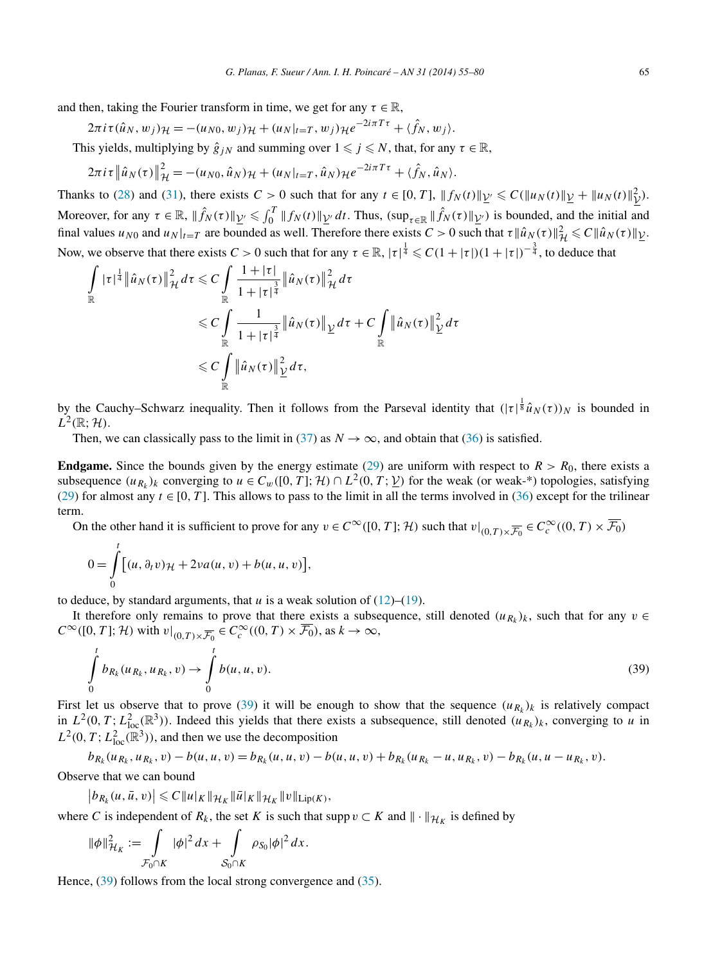and then, taking the Fourier transform in time, we get for any  $\tau \in \mathbb{R}$ ,

$$
2\pi i \tau(\hat{u}_N, w_j)\mathcal{H} = -(u_{N0}, w_j)\mathcal{H} + (u_N|_{t=T}, w_j)\mathcal{H}e^{-2i\pi T\tau} + \langle \hat{f}_N, w_j \rangle.
$$

This yields, multiplying by  $\hat{g}_{jN}$  and summing over  $1 \leq j \leq N$ , that, for any  $\tau \in \mathbb{R}$ ,

$$
2\pi i \tau \left\|\hat{u}_N(\tau)\right\|_{\mathcal{H}}^2 = -(u_{N0}, \hat{u}_N)_{\mathcal{H}} + (u_N|_{t=T}, \hat{u}_N)_{\mathcal{H}} e^{-2i\pi T \tau} + \langle \hat{f}_N, \hat{u}_N \rangle.
$$

Thanks to [\(28\)](#page-7-0) and [\(31\)](#page-8-0), there exists  $C > 0$  such that for any  $t \in [0, T]$ ,  $||f_N(t)||_{\underline{V}} \leq C(||u_N(t)||_{\underline{V}} + ||u_N(t)||_{\underline{V}}^2)$ . Moreover, for any  $\tau \in \mathbb{R}$ ,  $\|\hat{f}_N(\tau)\|_{\underline{V}'} \leq \int_0^T \|f_N(t)\|_{\underline{V}'} dt$ . Thus,  $(\sup_{\tau \in \mathbb{R}} \|\hat{f}_N(\tau)\|_{\underline{V}'})$  is bounded, and the initial and final values  $u_{N0}$  and  $u_N|_{t=T}$  are bounded as well. Therefore there exists  $C > 0$  such that  $\tau \|\hat{u}_N(\tau)\|_{\mathcal{H}}^2 \leq C \|\hat{u}_N(\tau)\|_{\mathcal{V}}^2$ . Now, we observe that there exists  $C > 0$  such that for any  $\tau \in \mathbb{R}$ ,  $|\tau|^{\frac{1}{4}} \leq C(1 + |\tau|)(1 + |\tau|)^{-\frac{3}{4}}$ , to deduce that

$$
\int_{\mathbb{R}} |\tau|^{\frac{1}{4}} \|\hat{u}_N(\tau)\|_{\mathcal{H}}^2 d\tau \leq C \int_{\mathbb{R}} \frac{1+|\tau|}{1+|\tau|^{\frac{3}{4}}} \|\hat{u}_N(\tau)\|_{\mathcal{H}}^2 d\tau
$$
\n
$$
\leq C \int_{\mathbb{R}} \frac{1}{1+|\tau|^{\frac{3}{4}}} \|\hat{u}_N(\tau)\|_{\mathcal{L}} d\tau + C \int_{\mathbb{R}} \|\hat{u}_N(\tau)\|_{\mathcal{L}}^2 d\tau
$$
\n
$$
\leq C \int_{\mathbb{R}} \|\hat{u}_N(\tau)\|_{\mathcal{L}}^2 d\tau,
$$

by the Cauchy–Schwarz inequality. Then it follows from the Parseval identity that  $(|\tau|^{\frac{1}{8}}\hat{u}_N(\tau))_N$  is bounded in  $L^2(\mathbb{R}; \mathcal{H})$ .

Then, we can classically pass to the limit in [\(37\)](#page-9-0) as  $N \to \infty$ , and obtain that [\(36\)](#page-9-0) is satisfied.

**Endgame.** Since the bounds given by the energy estimate [\(29\)](#page-8-0) are uniform with respect to  $R > R_0$ , there exists a subsequence  $(u_{R_k})_k$  converging to  $u \in C_w([0, T]; \mathcal{H}) \cap L^2(0, T; \underline{V})$  for the weak (or weak-\*) topologies, satisfying [\(29\)](#page-8-0) for almost any  $t \in [0, T]$ . This allows to pass to the limit in all the terms involved in [\(36\)](#page-9-0) except for the trilinear term.

On the other hand it is sufficient to prove for any  $v \in C^{\infty}([0, T]; \mathcal{H})$  such that  $v|_{(0, T) \times \overline{\mathcal{F}_0}} \in C_c^{\infty}((0, T) \times \overline{\mathcal{F}_0})$ 

$$
0 = \int\limits_0^t [(u, \partial_t v)_{\mathcal{H}} + 2va(u, v) + b(u, u, v)],
$$

to deduce, by standard arguments, that  $u$  is a weak solution of  $(12)$ – $(19)$ .

It therefore only remains to prove that there exists a subsequence, still denoted  $(u_{R_k})_k$ , such that for any  $v \in$  $C^{\infty}([0, T]; \mathcal{H})$  with  $v|_{(0, T) \times \overline{\mathcal{F}_0}} \in C_c^{\infty}((0, T) \times \overline{\mathcal{F}_0})$ , as  $k \to \infty$ ,

$$
\int_{0}^{t} b_{R_k}(u_{R_k}, u_{R_k}, v) \to \int_{0}^{t} b(u, u, v).
$$
\n(39)

First let us observe that to prove (39) it will be enough to show that the sequence  $(u_{R_k})_k$  is relatively compact in  $L^2(0, T; L^2_{loc}(\mathbb{R}^3))$ . Indeed this yields that there exists a subsequence, still denoted  $(u_{R_k})_k$ , converging to *u* in  $L^2(0, T; L^2_{loc}(\mathbb{R}^3))$ , and then we use the decomposition

$$
b_{R_k}(u_{R_k},u_{R_k},v)-b(u,u,v)=b_{R_k}(u,u,v)-b(u,u,v)+b_{R_k}(u_{R_k}-u,u_{R_k},v)-b_{R_k}(u,u-u_{R_k},v).
$$

Observe that we can bound

$$
\big|b_{R_k}(u,\bar{u},v)\big|\leqslant C\|u\|_{K}\|\mathcal{H}_k\|\bar{u}\|_{K}\|\mathcal{H}_k\|v\|_{\mathrm{Lip}(K)},
$$

where *C* is independent of  $R_k$ , the set *K* is such that supp  $v \subset K$  and  $\|\cdot\|_{\mathcal{H}_K}$  is defined by

$$
\|\phi\|_{\mathcal{H}_K}^2 := \int\limits_{\mathcal{F}_0 \cap K} |\phi|^2 \, dx + \int\limits_{\mathcal{S}_0 \cap K} \rho_{\mathcal{S}_0} |\phi|^2 \, dx.
$$

Hence, (39) follows from the local strong convergence and [\(35\)](#page-8-0).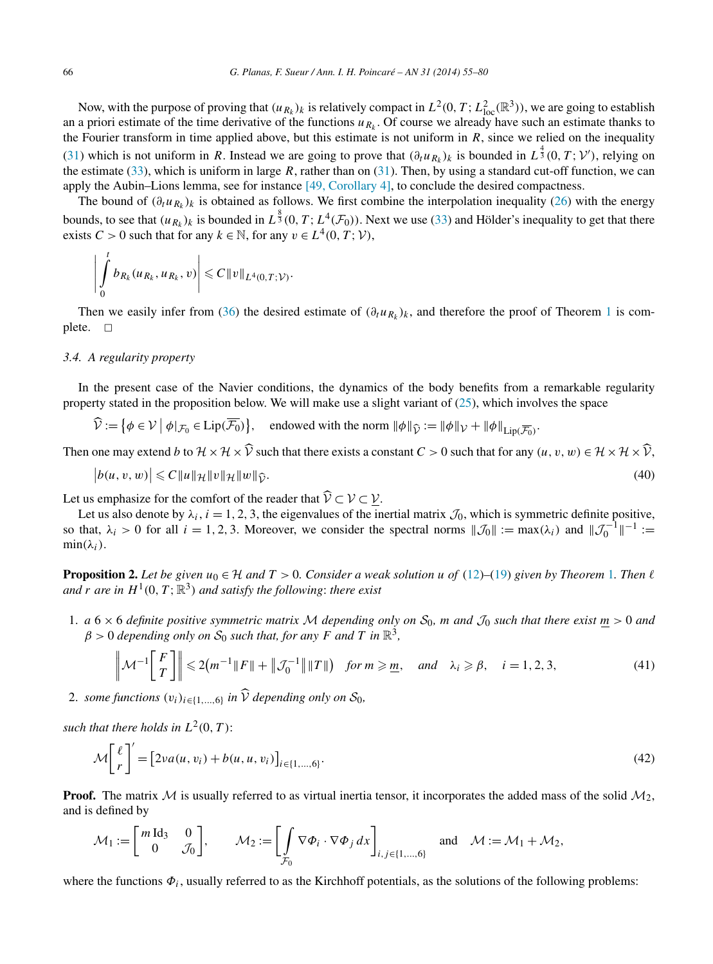<span id="page-11-0"></span>Now, with the purpose of proving that  $(u_{R_k})_k$  is relatively compact in  $L^2(0, T; L^2_{loc}(\mathbb{R}^3))$ , we are going to establish an a priori estimate of the time derivative of the functions  $u_{R_k}$ . Of course we already have such an estimate thanks to the Fourier transform in time applied above, but this estimate is not uniform in  $R$ , since we relied on the inequality [\(31\)](#page-8-0) which is not uniform in *R*. Instead we are going to prove that  $(\partial_t u_{R_k})_k$  is bounded in  $L^{\frac{4}{3}}(0, T; \mathcal{V}')$ , relying on the estimate [\(33\)](#page-8-0), which is uniform in large  $R$ , rather than on [\(31\)](#page-8-0). Then, by using a standard cut-off function, we can apply the Aubin–Lions lemma, see for instance [\[49, Corollary 4\],](#page-24-0) to conclude the desired compactness.

The bound of  $(\partial_t u_{R_k})_k$  is obtained as follows. We first combine the interpolation inequality [\(26\)](#page-7-0) with the energy bounds, to see that  $(u_{R_k})_k$  is bounded in  $L^{\frac{8}{3}}(0, T; L^4(\mathcal{F}_0))$ . Next we use [\(33\)](#page-8-0) and Hölder's inequality to get that there exists *C* > 0 such that for any  $k \in \mathbb{N}$ , for any  $v \in L^4(0, T; V)$ ,

$$
\left|\int\limits_0^t b_{R_k}(u_{R_k},u_{R_k},v)\right|\leqslant C\|v\|_{L^4(0,T;\mathcal{V})}.
$$

Then we easily infer from [\(36\)](#page-9-0) the desired estimate of  $(\partial_t u_{R_k})_k$ , and therefore the proof of Theorem [1](#page-8-0) is complete.  $\square$ 

#### *3.4. A regularity property*

In the present case of the Navier conditions, the dynamics of the body benefits from a remarkable regularity property stated in the proposition below. We will make use a slight variant of [\(25\)](#page-7-0), which involves the space

 $\widehat{\mathcal{V}} := \{ \phi \in \mathcal{V} \mid \phi|_{\mathcal{F}_0} \in \text{Lip}(\overline{\mathcal{F}_0}) \},\$  endowed with the norm  $\|\phi\|_{\widehat{\mathcal{V}}} := \|\phi\|_{\mathcal{V}} + \|\phi\|_{\text{Lip}(\overline{\mathcal{F}_0})}.$ 

Then one may extend *b* to  $\mathcal{H} \times \mathcal{H} \times \mathcal{V}$  such that there exists a constant  $C > 0$  such that for any  $(u, v, w) \in \mathcal{H} \times \mathcal{H} \times \mathcal{V}$ ,

$$
|b(u, v, w)| \leq C ||u||_{\mathcal{H}} ||v||_{\mathcal{H}} ||w||_{\widehat{\mathcal{V}}}.
$$
\n
$$
(40)
$$

Let us emphasize for the comfort of the reader that  $V \subset V \subset V$ .

Let us also denote by  $\lambda_i$ ,  $i = 1, 2, 3$ , the eigenvalues of the inertial matrix  $\mathcal{J}_0$ , which is symmetric definite positive, so that,  $\lambda_i > 0$  for all  $i = 1, 2, 3$ . Moreover, we consider the spectral norms  $||\mathcal{J}_0|| := \max(\lambda_i)$  and  $||\mathcal{J}_0^{-1}||^{-1} :=$  $min(\lambda_i)$ .

**Proposition 2.** Let be given  $u_0 \in \mathcal{H}$  and  $T > 0$ . Consider a weak solution u of [\(12\)](#page-4-0)–[\(19\)](#page-4-0) given by Theorem [1](#page-8-0). Then  $\ell$ *and r are* in  $H^1(0, T; \mathbb{R}^3)$  *and satisfy the following: there exist* 

1.  $a \times b$  *definite positive symmetric matrix* M *depending only on*  $S_0$ *, m and*  $J_0$  *such that there exist*  $m > 0$  *and*  $\beta$  > 0 *depending only on*  $S_0$  *such that, for any F and T in*  $\mathbb{R}^3$ *,* 

$$
\left\|\mathcal{M}^{-1}\left[\begin{array}{c} F \\ T \end{array}\right]\right\| \leqslant 2\left(m^{-1}\|F\| + \left\|\mathcal{J}_0^{-1}\right\|\|T\|\right) \quad \text{for } m \geqslant \underline{m}, \quad \text{and} \quad \lambda_i \geqslant \beta, \quad i = 1, 2, 3,
$$
\n
$$
(41)
$$

2. *some functions*  $(v_i)_{i \in \{1, \ldots, 6\}}$  *in*  $V$  depending only on  $S_0$ ,

*such that there holds in*  $L^2(0, T)$ :

$$
\mathcal{M}\left[\begin{matrix} \ell \\ r \end{matrix}\right]' = \left[2va(u, v_i) + b(u, u, v_i)\right]_{i \in \{1, \dots, 6\}}.\tag{42}
$$

**Proof.** The matrix  $M$  is usually referred to as virtual inertia tensor, it incorporates the added mass of the solid  $M_2$ , and is defined by

$$
\mathcal{M}_1 := \begin{bmatrix} m \, \text{Id}_3 & 0 \\ 0 & \mathcal{J}_0 \end{bmatrix}, \qquad \mathcal{M}_2 := \left[ \int_{\mathcal{F}_0} \nabla \Phi_i \cdot \nabla \Phi_j \, dx \right]_{i,j \in \{1,\dots,6\}} \quad \text{and} \quad \mathcal{M} := \mathcal{M}_1 + \mathcal{M}_2,
$$

where the functions  $\Phi_i$ , usually referred to as the Kirchhoff potentials, as the solutions of the following problems: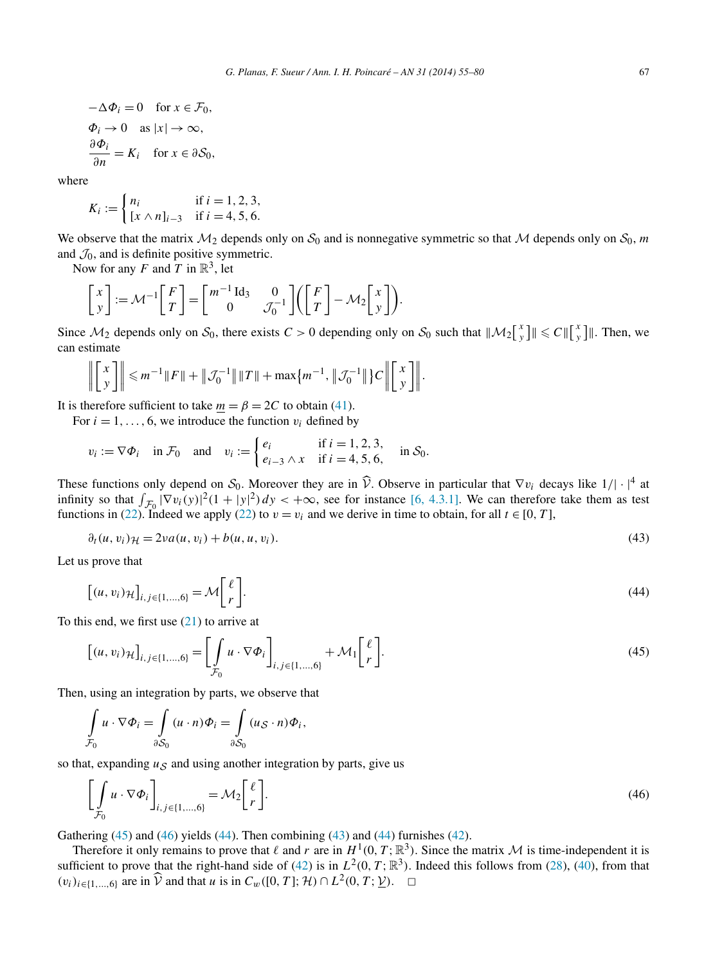$$
-\Delta \Phi_i = 0 \quad \text{for } x \in \mathcal{F}_0,
$$
  

$$
\Phi_i \to 0 \quad \text{as } |x| \to \infty,
$$
  

$$
\frac{\partial \Phi_i}{\partial n} = K_i \quad \text{for } x \in \partial \mathcal{S}_0,
$$

where

$$
K_i := \begin{cases} n_i & \text{if } i = 1, 2, 3, \\ [x \wedge n]_{i-3} & \text{if } i = 4, 5, 6. \end{cases}
$$

We observe that the matrix  $M_2$  depends only on  $S_0$  and is nonnegative symmetric so that M depends only on  $S_0$ , *m* and  $\mathcal{J}_0$ , and is definite positive symmetric.

Now for any *F* and *T* in  $\mathbb{R}^3$ , let

$$
\begin{bmatrix} x \\ y \end{bmatrix} := \mathcal{M}^{-1} \begin{bmatrix} F \\ T \end{bmatrix} = \begin{bmatrix} m^{-1} \operatorname{Id}_3 & 0 \\ 0 & \mathcal{J}_0^{-1} \end{bmatrix} \left( \begin{bmatrix} F \\ T \end{bmatrix} - \mathcal{M}_2 \begin{bmatrix} x \\ y \end{bmatrix} \right).
$$

Since  $\mathcal{M}_2$  depends only on  $\mathcal{S}_0$ , there exists  $C > 0$  depending only on  $\mathcal{S}_0$  such that  $\|\mathcal{M}_2\|_y^x$  $\left[\begin{array}{c} x \\ y \end{array}\right]$   $\leq C \left\| \begin{bmatrix} x \\ y \end{bmatrix}\right\|$  $\left[\begin{array}{c} x \\ y \end{array}\right]$  ||. Then, we can estimate

$$
\left\| \begin{bmatrix} x \\ y \end{bmatrix} \right\| \leq m^{-1} \|F\| + \left\| \mathcal{J}_0^{-1} \right\| \|T\| + \max \{m^{-1}, \|\mathcal{J}_0^{-1}\| \} C \left\| \begin{bmatrix} x \\ y \end{bmatrix} \right\|.
$$

It is therefore sufficient to take  $m = \beta = 2C$  to obtain [\(41\)](#page-11-0).

For  $i = 1, \ldots, 6$ , we introduce the function  $v_i$  defined by

$$
v_i := \nabla \Phi_i \quad \text{in } \mathcal{F}_0 \quad \text{and} \quad v_i := \begin{cases} e_i & \text{if } i = 1, 2, 3, \\ e_{i-3} \wedge x & \text{if } i = 4, 5, 6, \end{cases} \quad \text{in } \mathcal{S}_0.
$$

These functions only depend on  $S_0$ . Moreover they are in  $\hat{V}$ . Observe in particular that  $\nabla v_i$  decays like  $1/|\cdot|^4$  at infinity so that  $\int_{\mathcal{F}_0} |\nabla v_i(y)|^2 (1+ |y|^2) dy < +\infty$ , see for instance [\[6, 4.3.1\].](#page-23-0) We can therefore take them as test functions in [\(22\)](#page-5-0). Indeed we apply (22) to  $v = v_i$  and we derive in time to obtain, for all  $t \in [0, T]$ ,

$$
\partial_t(u, v_i)_{\mathcal{H}} = 2\nu a(u, v_i) + b(u, u, v_i). \tag{43}
$$

Let us prove that

$$
[(u, v_i)_{\mathcal{H}}]_{i,j\in\{1,\ldots,6\}} = \mathcal{M}\left[\begin{matrix} \ell \\ r \end{matrix}\right].
$$
\n(44)

To this end, we first use  $(21)$  to arrive at

$$
[(u, v_i)_{\mathcal{H}}]_{i,j\in\{1,\ldots,6\}} = \left[\int\limits_{\mathcal{F}_0} u \cdot \nabla \Phi_i\right]_{i,j\in\{1,\ldots,6\}} + \mathcal{M}_1\left[\begin{matrix} \ell \\ r \end{matrix}\right].
$$
 (45)

Then, using an integration by parts, we observe that

$$
\int_{\mathcal{F}_0} u \cdot \nabla \Phi_i = \int_{\partial \mathcal{S}_0} (u \cdot n) \Phi_i = \int_{\partial \mathcal{S}_0} (u_{\mathcal{S}} \cdot n) \Phi_i,
$$

so that, expanding  $u<sub>S</sub>$  and using another integration by parts, give us

$$
\left[\int_{\mathcal{F}_0} u \cdot \nabla \Phi_i\right]_{i,j \in \{1,\dots,6\}} = \mathcal{M}_2 \left[\frac{\ell}{r}\right].\tag{46}
$$

Gathering  $(45)$  and  $(46)$  yields  $(44)$ . Then combining  $(43)$  and  $(44)$  furnishes  $(42)$ .

Therefore it only remains to prove that  $\ell$  and  $r$  are in  $H^1(0, T; \mathbb{R}^3)$ . Since the matrix  $\mathcal M$  is time-independent it is sufficient to prove that the right-hand side of [\(42\)](#page-11-0) is in  $L^2(0, T; \mathbb{R}^3)$ . Indeed this follows from [\(28\)](#page-7-0), [\(40\)](#page-11-0), from that *(v<sub>i</sub>)*<sub>*i*∈{1,...,6}</sub> are in  $\widehat{V}$  and that *u* is in  $C_w([0, T]; \mathcal{H}) \cap L^2(0, T; \underline{V})$ . □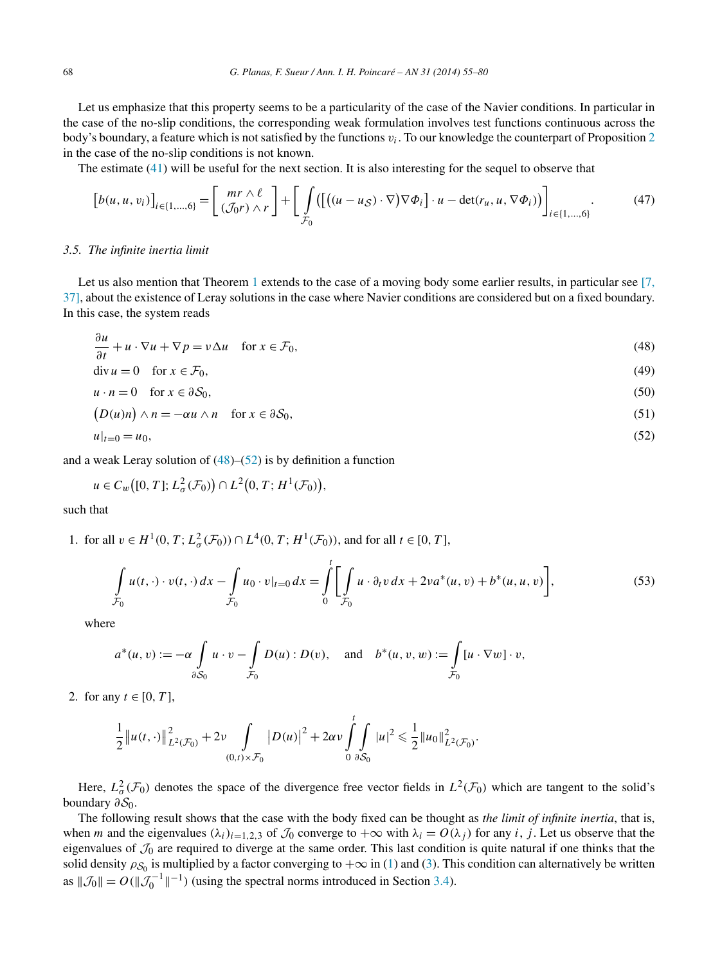<span id="page-13-0"></span>Let us emphasize that this property seems to be a particularity of the case of the Navier conditions. In particular in the case of the no-slip conditions, the corresponding weak formulation involves test functions continuous across the body's boundary, a feature which is not satisfied by the functions *vi*. To our knowledge the counterpart of Proposition [2](#page-11-0) in the case of the no-slip conditions is not known.

The estimate [\(41\)](#page-11-0) will be useful for the next section. It is also interesting for the sequel to observe that

$$
\[b(u,u,v_i)\]_{i\in\{1,\ldots,6\}} = \left[\begin{array}{c} mr \wedge \ell \\ (\mathcal{J}_0r) \wedge r \end{array}\right] + \left[\int\limits_{\mathcal{F}_0} \left(\left[\left((u-u_{\mathcal{S}}) \cdot \nabla\right) \nabla \Phi_i\right] \cdot u - \det(r_u, u, \nabla \Phi_i)\right)\right]_{i\in\{1,\ldots,6\}}.\tag{47}
$$

#### *3.5. The infinite inertia limit*

*∂u*

Let us also mention that Theorem [1](#page-8-0) extends to the case of a moving body some earlier results, in particular see [\[7,](#page-23-0) [37\],](#page-23-0) about the existence of Leray solutions in the case where Navier conditions are considered but on a fixed boundary. In this case, the system reads

$$
\frac{\partial u}{\partial t} + u \cdot \nabla u + \nabla p = v \Delta u \quad \text{for } x \in \mathcal{F}_0,
$$
\n
$$
(48)
$$

$$
\operatorname{div} u = 0 \quad \text{for } x \in \mathcal{F}_0,\tag{49}
$$

$$
u \cdot n = 0 \quad \text{for } x \in \partial S_0,\tag{50}
$$

$$
(D(u)n) \wedge n = -\alpha u \wedge n \quad \text{for } x \in \partial S_0,\tag{51}
$$

$$
u|_{t=0} = u_0,\tag{52}
$$

and a weak Leray solution of (48)–(52) is by definition a function

$$
u \in C_w([0, T]; L^2_\sigma(\mathcal{F}_0)) \cap L^2(0, T; H^1(\mathcal{F}_0)),
$$

such that

1. for all *v* ∈ *H*<sup>1</sup>(0*, T*; *L*<sub>2</sub><sup>2</sup>( $\mathcal{F}_0$ ))∩ *L*<sup>4</sup>(0*, T*; *H*<sup>1</sup>( $\mathcal{F}_0$ )), and for all *t* ∈ [0*, T*],

$$
\int_{\mathcal{F}_0} u(t,\cdot) \cdot v(t,\cdot) \, dx - \int_{\mathcal{F}_0} u_0 \cdot v|_{t=0} \, dx = \int_0^t \left[ \int_{\mathcal{F}_0} u \cdot \partial_t v \, dx + 2v a^*(u,v) + b^*(u,u,v) \right],\tag{53}
$$

where

$$
a^*(u, v) := -\alpha \int_{\partial S_0} u \cdot v - \int_{\mathcal{F}_0} D(u) : D(v), \quad \text{and} \quad b^*(u, v, w) := \int_{\mathcal{F}_0} [u \cdot \nabla w] \cdot v,
$$

2. for any  $t \in [0, T]$ ,

$$
\frac{1}{2} ||u(t, \cdot)||^{2}_{L^{2}(\mathcal{F}_{0})} + 2\nu \int_{(0,t)\times \mathcal{F}_{0}} |D(u)|^{2} + 2\alpha\nu \int_{0}^{t} \int_{\partial \mathcal{S}_{0}} |u|^{2} \leq \frac{1}{2} ||u_{0}||^{2}_{L^{2}(\mathcal{F}_{0})}.
$$

Here,  $L^2_{\sigma}(\mathcal{F}_0)$  denotes the space of the divergence free vector fields in  $L^2(\mathcal{F}_0)$  which are tangent to the solid's boundary ∂S<sub>0</sub>.

The following result shows that the case with the body fixed can be thought as *the limit of infinite inertia*, that is, when *m* and the eigenvalues  $(\lambda_i)_{i=1,2,3}$  of  $\mathcal{J}_0$  converge to  $+\infty$  with  $\lambda_i = O(\lambda_j)$  for any *i*, *j*. Let us observe that the eigenvalues of  $\mathcal{J}_0$  are required to diverge at the same order. This last condition is quite natural if one thinks that the solid density  $\rho_{S_0}$  is multiplied by a factor converging to  $+\infty$  in [\(1\)](#page-2-0) and [\(3\)](#page-2-0). This condition can alternatively be written as  $\|\mathcal{J}_0\| = O(\|\tilde{\mathcal{J}_0}^{-1}\|^{-1})$  (using the spectral norms introduced in Section [3.4\)](#page-11-0).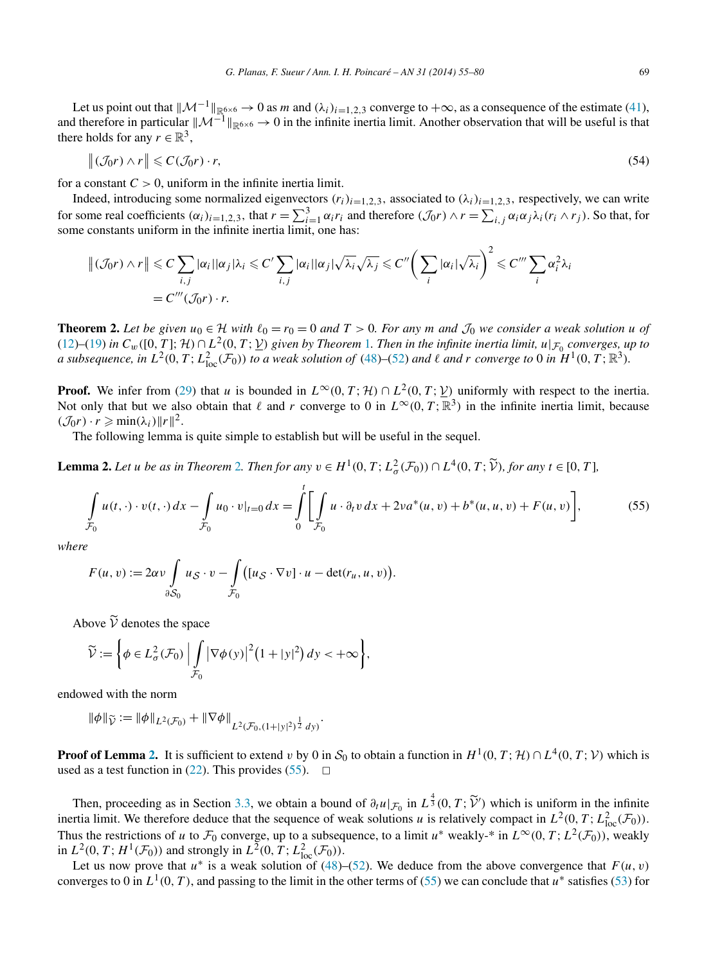<span id="page-14-0"></span>Let us point out that  $\|\mathcal{M}^{-1}\|_{\mathbb{R}^{6\times6}} \to 0$  as *m* and  $(\lambda_i)_{i=1,2,3}$  converge to  $+\infty$ , as a consequence of the estimate [\(41\)](#page-11-0), and therefore in particular  $\|\mathcal{M}^{-1}\|_{\mathbb{R}^{6\times6}} \to 0$  in the infinite inertia limit. Another observation that will be useful is that there holds for any  $r \in \mathbb{R}^3$ ,

$$
\left\| \left( \mathcal{J}_0 r \right) \wedge r \right\| \leqslant C \left( \mathcal{J}_0 r \right) \cdot r,\tag{54}
$$

for a constant  $C > 0$ , uniform in the infinite inertia limit.

Indeed, introducing some normalized eigenvectors  $(r_i)_{i=1,2,3}$ , associated to  $(\lambda_i)_{i=1,2,3}$ , respectively, we can write for some real coefficients  $(\alpha_i)_{i=1,2,3}$ , that  $r = \sum_{i=1}^3 \alpha_i r_i$  and therefore  $(\mathcal{J}_0 r) \wedge r = \sum_{i,j} \alpha_i \alpha_j \lambda_i (r_i \wedge r_j)$ . So that, for some constants uniform in the infinite inertia limit, one has:

$$
\|(\mathcal{J}_0 r) \wedge r\| \leq C \sum_{i,j} |\alpha_i| |\alpha_j| \lambda_i \leq C' \sum_{i,j} |\alpha_i| |\alpha_j| \sqrt{\lambda_i} \sqrt{\lambda_j} \leq C'' \bigg(\sum_i |\alpha_i| \sqrt{\lambda_i}\bigg)^2 \leq C''' \sum_i \alpha_i^2 \lambda_i
$$
  
=  $C'''(\mathcal{J}_0 r) \cdot r$ .

**Theorem 2.** Let be given  $u_0 \in \mathcal{H}$  with  $\ell_0 = r_0 = 0$  and  $T > 0$ . For any *m* and  $\mathcal{J}_0$  we consider a weak solution *u* of  $(12)$ −[\(19\)](#page-4-0) *in*  $C_w([0, T]; \mathcal{H}) ∩ L^2(0, T; \underline{V})$  given by Theorem [1](#page-8-0). Then in the infinite inertia limit,  $u|_{\mathcal{F}_0}$  converges, up to a subsequence, in  $L^2(0,T;L^2_{loc}(\mathcal{F}_0))$  to a weak solution of [\(48\)](#page-13-0)–[\(52\)](#page-13-0) and  $\ell$  and  $r$  converge to 0 in  $H^1(0,T;\mathbb{R}^3)$ .

**Proof.** We infer from [\(29\)](#page-8-0) that *u* is bounded in  $L^{\infty}(0, T; \mathcal{H}) \cap L^{2}(0, T; \underline{V})$  uniformly with respect to the inertia. Not only that but we also obtain that  $\ell$  and  $r$  converge to 0 in  $L^{\infty}(0, T; \mathbb{R}^{3})$  in the infinite inertia limit, because  $(\mathcal{J}_0 r) \cdot r \geqslant \min(\lambda_i) \|r\|^2.$ 

The following lemma is quite simple to establish but will be useful in the sequel.

**Lemma 2.** Let u be as in Theorem 2. Then for any  $v \in H^1(0, T; L^2_\sigma(\mathcal{F}_0)) \cap L^4(0, T; \widetilde{V})$ , for any  $t \in [0, T]$ ,

$$
\int_{\mathcal{F}_0} u(t,\cdot) \cdot v(t,\cdot) \, dx - \int_{\mathcal{F}_0} u_0 \cdot v|_{t=0} \, dx = \int_0^t \bigg[ \int_{\mathcal{F}_0} u \cdot \partial_t v \, dx + 2v a^*(u,v) + b^*(u,u,v) + F(u,v) \bigg],\tag{55}
$$

*where*

$$
F(u, v) := 2\alpha v \int_{\partial S_0} u_S \cdot v - \int_{\mathcal{F}_0} \bigl( [u_S \cdot \nabla v] \cdot u - \det(r_u, u, v) \bigr).
$$

Above  $V$  denotes the space

$$
\widetilde{\mathcal{V}} := \left\{ \phi \in L^2_{\sigma}(\mathcal{F}_0) \, \Big| \, \int\limits_{\mathcal{F}_0} \big| \nabla \phi(y) \big|^2 \big( 1 + |y|^2 \big) \, dy < +\infty \right\},\
$$

endowed with the norm

$$
\|\phi\|_{\widetilde{\mathcal{V}}} := \|\phi\|_{L^2(\mathcal{F}_0)} + \|\nabla\phi\|_{L^2(\mathcal{F}_0, (1+|y|^2)^{\frac{1}{2}}dy)}.
$$

**Proof of Lemma 2.** It is sufficient to extend *v* by 0 in  $S_0$  to obtain a function in  $H^1(0, T; \mathcal{H}) \cap L^4(0, T; \mathcal{V})$  which is used as a test function in [\(22\)](#page-5-0). This provides (55).  $\Box$ 

Then, proceeding as in Section [3.3,](#page-8-0) we obtain a bound of  $\partial_t u|_{\mathcal{F}_0}$  in  $L^{\frac{4}{3}}(0,T;\widetilde{V}')$  which is uniform in the infinite inertia limit. We therefore deduce that the sequence of weak solutions *u* is relatively compact in  $L^2(0, T; L^2_{loc}(\mathcal{F}_0))$ . Thus the restrictions of *u* to  $\mathcal{F}_0$  converge, up to a subsequence, to a limit  $u^*$  weakly-\* in  $L^\infty(0, T; L^2(\mathcal{F}_0))$ , weakly in  $L^2(0, T; H^1(\mathcal{F}_0))$  and strongly in  $L^2(0, T; L^2_{loc}(\mathcal{F}_0))$ .

Let us now prove that  $u^*$  is a weak solution of [\(48\)](#page-13-0)–[\(52\)](#page-13-0). We deduce from the above convergence that  $F(u, v)$ converges to 0 in  $L^1(0, T)$ , and passing to the limit in the other terms of (55) we can conclude that  $u^*$  satisfies [\(53\)](#page-13-0) for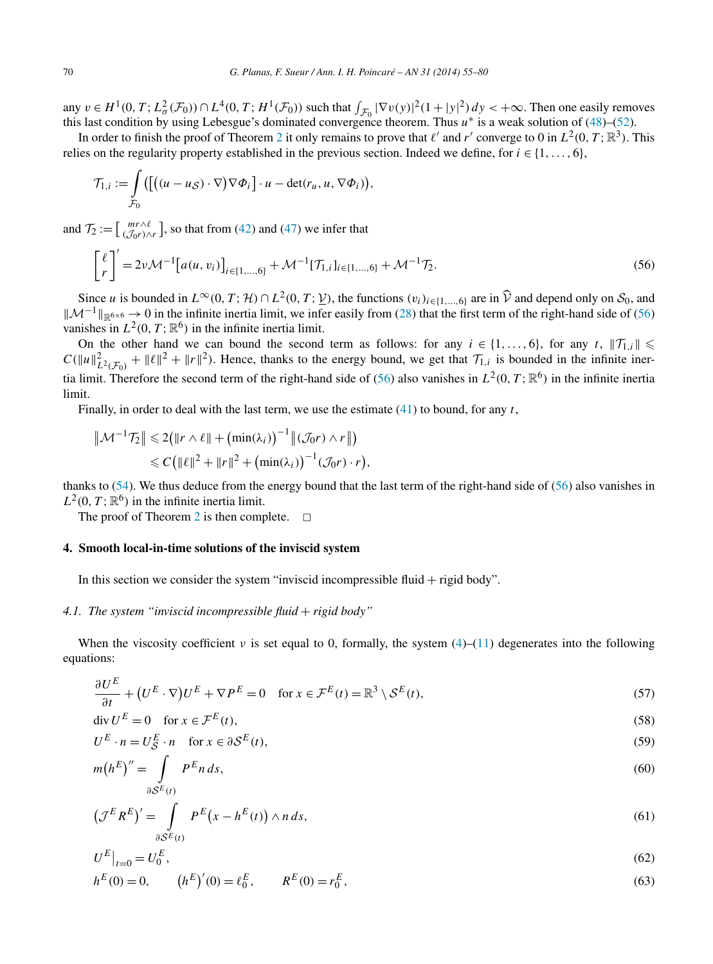<span id="page-15-0"></span>any  $v oldsymbol{\in} H^1(0, T; L^2_{\sigma}(\mathcal{F}_0)) \cap L^4(0, T; H^1(\mathcal{F}_0))$  such that  $\int_{\mathcal{F}_0} |\nabla v(y)|^2 (1+|y|^2) dy < +\infty$ . Then one easily removes this last condition by using Lebesgue's dominated convergence theorem. Thus  $u^*$  is a weak solution of [\(48\)](#page-13-0)–[\(52\)](#page-13-0).

In order to finish the proof of Theorem [2](#page-14-0) it only remains to prove that  $\ell'$  and  $r'$  converge to 0 in  $L^2(0, T; \mathbb{R}^3)$ . This relies on the regularity property established in the previous section. Indeed we define, for  $i \in \{1, \ldots, 6\}$ ,

$$
\mathcal{T}_{1,i} := \int\limits_{\mathcal{F}_0} \left( \left[ \left( (u - u_{\mathcal{S}}) \cdot \nabla \right) \nabla \Phi_i \right] \cdot u - \det(r_u, u, \nabla \Phi_i) \right),
$$

and  $\mathcal{T}_2 := \left[ \begin{array}{c} mr \wedge \ell \\ (\mathcal{J}_0 r) \wedge \ell \end{array} \right]$  $\int_{(\mathcal{J}_0 r)\wedge r}^{mr\wedge \ell}$ , so that from [\(42\)](#page-11-0) and [\(47\)](#page-13-0) we infer that

$$
\begin{bmatrix} \ell \\ r \end{bmatrix}' = 2\nu \mathcal{M}^{-1} \big[ a(u, v_i) \big]_{i \in \{1, \dots, 6\}} + \mathcal{M}^{-1} \big[ \mathcal{T}_{1,i} \big]_{i \in \{1, \dots, 6\}} + \mathcal{M}^{-1} \mathcal{T}_{2}.
$$
 (56)

Since *u* is bounded in  $L^{\infty}(0, T; \mathcal{H}) \cap L^{2}(0, T; \underline{V})$ , the functions  $(v_i)_{i \in \{1, ..., 6\}}$  are in  $\widehat{V}$  and depend only on  $\mathcal{S}_0$ , and  $\|\mathcal{M}^{-1}\|_{\mathbb{R}^{6\times6}} \to 0$  in the infinite inertia limit, we infer easily from [\(28\)](#page-7-0) that the first term of the right-hand side of (56) vanishes in  $L^2(0, T; \mathbb{R}^6)$  in the infinite inertia limit.

On the other hand we can bound the second term as follows: for any  $i \in \{1, ..., 6\}$ , for any  $t$ ,  $\|\mathcal{T}_{1,i}\|$  $C(\|u\|_{L^2(\mathcal{F}_0)}^2 + \|f\|^2 + \|r\|^2)$ . Hence, thanks to the energy bound, we get that  $\mathcal{T}_{1,i}$  is bounded in the infinite inertia limit. Therefore the second term of the right-hand side of (56) also vanishes in  $L^2(0, T; \mathbb{R}^6)$  in the infinite inertia limit.

Finally, in order to deal with the last term, we use the estimate [\(41\)](#page-11-0) to bound, for any *t*,

$$
\|\mathcal{M}^{-1}\mathcal{T}_2\| \leq 2\big(\|r \wedge \ell\| + \big(\min(\lambda_i)\big)^{-1}\big\|(\mathcal{J}_0r) \wedge r\big\|\big) \leq C\big(\|\ell\|^2 + \|r\|^2 + \big(\min(\lambda_i)\big)^{-1}(\mathcal{J}_0r) \cdot r\big),
$$

thanks to [\(54\)](#page-14-0). We thus deduce from the energy bound that the last term of the right-hand side of (56) also vanishes in  $L^2(0, T; \mathbb{R}^6)$  in the infinite inertia limit.

The proof of Theorem [2](#page-14-0) is then complete.  $\Box$ 

#### **4. Smooth local-in-time solutions of the inviscid system**

In this section we consider the system "inviscid incompressible fluid  $+$  rigid body".

#### *4.1. The system "inviscid incompressible fluid* + *rigid body"*

When the viscosity coefficient  $\nu$  is set equal to 0, formally, the system [\(4\)](#page-3-0)–[\(11\)](#page-3-0) degenerates into the following equations:

$$
\frac{\partial U^E}{\partial t} + \left( U^E \cdot \nabla \right) U^E + \nabla P^E = 0 \quad \text{for } x \in \mathcal{F}^E(t) = \mathbb{R}^3 \setminus \mathcal{S}^E(t),\tag{57}
$$

$$
\operatorname{div} U^E = 0 \quad \text{for } x \in \mathcal{F}^E(t),\tag{58}
$$

$$
U^{E} \cdot n = U_{\mathcal{S}}^{E} \cdot n \quad \text{for } x \in \partial \mathcal{S}^{E}(t), \tag{59}
$$

$$
m(h^E)'' = \int_{\partial S^E(t)} P^E n \, ds,\tag{60}
$$

$$
\left(\mathcal{J}^E R^E\right)' = \int\limits_{\partial S^E(r)} P^E\big(x - h^E(t)\big) \wedge n \, ds,\tag{61}
$$

$$
U^{E}|_{t=0} = U_0^{E},
$$
\n
$$
U^{E}|_{t=0} = U_0^{E},
$$
\n
$$
U^{E} \left( \rho \right) = U_0^{E},
$$
\n
$$
U^{E} \left( \rho \right) = U_0^{E},
$$
\n
$$
U^{E} \left( \rho \right) = U_0^{E},
$$
\n
$$
U^{E} \left( \rho \right) = U_0^{E},
$$
\n
$$
U^{E} \left( \rho \right) = U_0^{E},
$$
\n
$$
U^{E} \left( \rho \right) = U_0^{E},
$$
\n
$$
U^{E} \left( \rho \right) = U_0^{E},
$$
\n
$$
U^{E} \left( \rho \right) = U_0^{E},
$$
\n
$$
U^{E} \left( \rho \right) = U_0^{E},
$$
\n
$$
U^{E} \left( \rho \right) = U_0^{E},
$$
\n
$$
U^{E} \left( \rho \right) = U_0^{E},
$$
\n
$$
U^{E} \left( \rho \right) = U_0^{E},
$$
\n
$$
U^{E} \left( \rho \right) = U_0^{E},
$$
\n
$$
U^{E} \left( \rho \right) = U_0^{E},
$$
\n
$$
U^{E} \left( \rho \right) = U_0^{E},
$$
\n
$$
U^{E} \left( \rho \right) = U_0^{E},
$$
\n
$$
U^{E} \left( \rho \right) = U_0^{E},
$$
\n
$$
U^{E} \left( \rho \right) = U_0^{E},
$$
\n
$$
U^{E} \left( \rho \right) = U_0^{E},
$$
\n
$$
U^{E} \left( \rho \right) = U_0^{E},
$$
\n
$$
U^{E} \left( \rho \right) = U_0^{E},
$$
\n
$$
U^{E} \left( \rho \right) = U_0^{E},
$$
\n
$$
U^{E} \left( \rho \right) = U_0^{E},
$$
\n
$$
U^{E} \left( \rho \right) = U_0^{E},
$$
\n
$$
U^{E} \left( \rho \right
$$

$$
h^{E}(0) = 0, \qquad (h^{E})'(0) = \ell_{0}^{E}, \qquad R^{E}(0) = r_{0}^{E}, \tag{63}
$$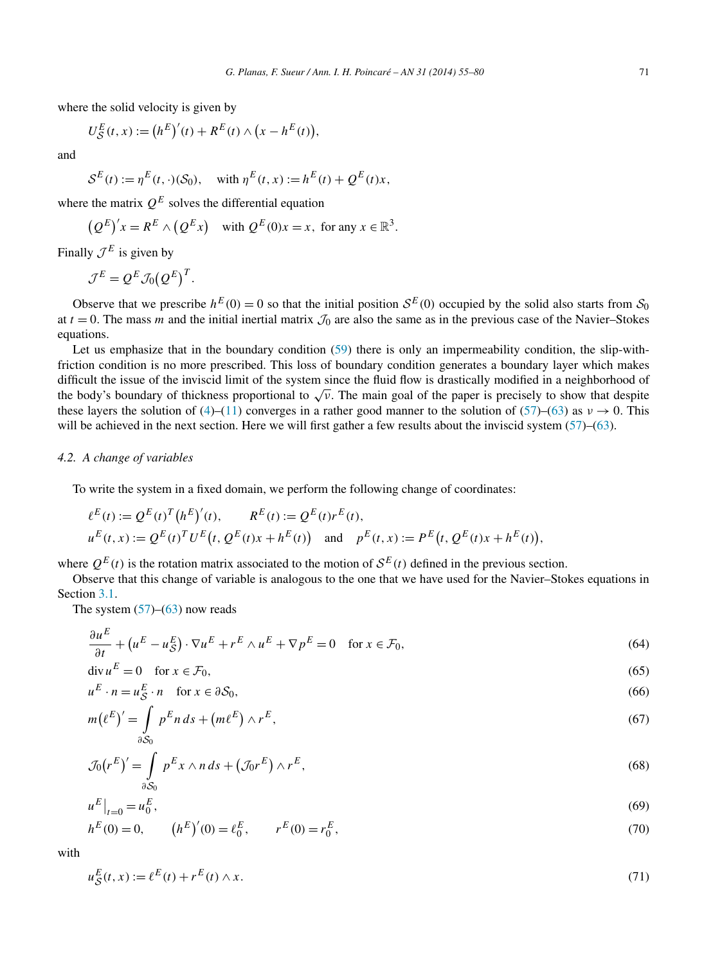<span id="page-16-0"></span>where the solid velocity is given by

$$
U_{\mathcal{S}}^{E}(t,x) := (h^{E})'(t) + R^{E}(t) \wedge (x - h^{E}(t)),
$$

and

$$
S^{E}(t) := \eta^{E}(t, \cdot)(S_{0}), \text{ with } \eta^{E}(t, x) := h^{E}(t) + Q^{E}(t)x,
$$

where the matrix  $Q^E$  solves the differential equation

$$
(Q^E)'x = R^E \wedge (Q^E x)
$$
 with  $Q^E(0)x = x$ , for any  $x \in \mathbb{R}^3$ .

Finally  $\mathcal{J}^E$  is given by

$$
\mathcal{J}^E = Q^E \mathcal{J}_0 (Q^E)^T.
$$

Observe that we prescribe  $h^E(0) = 0$  so that the initial position  $S^E(0)$  occupied by the solid also starts from  $S_0$ at  $t = 0$ . The mass *m* and the initial inertial matrix  $\mathcal{J}_0$  are also the same as in the previous case of the Navier–Stokes equations.

Let us emphasize that in the boundary condition [\(59\)](#page-15-0) there is only an impermeability condition, the slip-withfriction condition is no more prescribed. This loss of boundary condition generates a boundary layer which makes difficult the issue of the inviscid limit of the system since the fluid flow is drastically modified in a neighborhood of the body's boundary of thickness proportional to  $\sqrt{\nu}$ . The main goal of the paper is precisely to show that despite these layers the solution of [\(4\)](#page-3-0)–[\(11\)](#page-3-0) converges in a rather good manner to the solution of [\(57\)](#page-15-0)–[\(63\)](#page-15-0) as  $v \to 0$ . This will be achieved in the next section. Here we will first gather a few results about the inviscid system [\(57\)](#page-15-0)–[\(63\)](#page-15-0).

#### *4.2. A change of variables*

To write the system in a fixed domain, we perform the following change of coordinates:

$$
\ell^{E}(t) := Q^{E}(t)^{T} (h^{E})'(t), \qquad R^{E}(t) := Q^{E}(t) r^{E}(t),
$$
  
\n
$$
u^{E}(t,x) := Q^{E}(t)^{T} U^{E}(t, Q^{E}(t)x + h^{E}(t)) \text{ and } p^{E}(t,x) := P^{E}(t, Q^{E}(t)x + h^{E}(t)),
$$

where  $Q^{E}(t)$  is the rotation matrix associated to the motion of  $S^{E}(t)$  defined in the previous section.

Observe that this change of variable is analogous to the one that we have used for the Navier–Stokes equations in Section [3.1.](#page-4-0)

The system  $(57)$ – $(63)$  now reads

$$
\frac{\partial u^E}{\partial t} + \left( u^E - u_S^E \right) \cdot \nabla u^E + r^E \wedge u^E + \nabla p^E = 0 \quad \text{for } x \in \mathcal{F}_0,
$$
\n
$$
\tag{64}
$$

$$
\operatorname{div} u^E = 0 \quad \text{for } x \in \mathcal{F}_0,\tag{65}
$$

$$
u^E \cdot n = u^E_{\mathcal{S}} \cdot n \quad \text{for } x \in \partial \mathcal{S}_0,\tag{66}
$$

$$
m(\ell^{E})' = \int_{\partial S_0} p^{E_n} ds + (m\ell^{E}) \wedge r^{E}, \qquad (67)
$$

$$
\mathcal{J}_0(r^E)' = \int_{\partial S_0} p^E x \wedge n \, ds + (\mathcal{J}_0 r^E) \wedge r^E,\tag{68}
$$

$$
u^E|_{t=0} = u_0^E,\tag{69}
$$

$$
h^{E}(0) = 0, \qquad (h^{E})'(0) = \ell_{0}^{E}, \qquad r^{E}(0) = r_{0}^{E}, \tag{70}
$$

with

$$
u_{\mathcal{S}}^{E}(t,x) := \ell^{E}(t) + r^{E}(t) \wedge x.
$$
\n(71)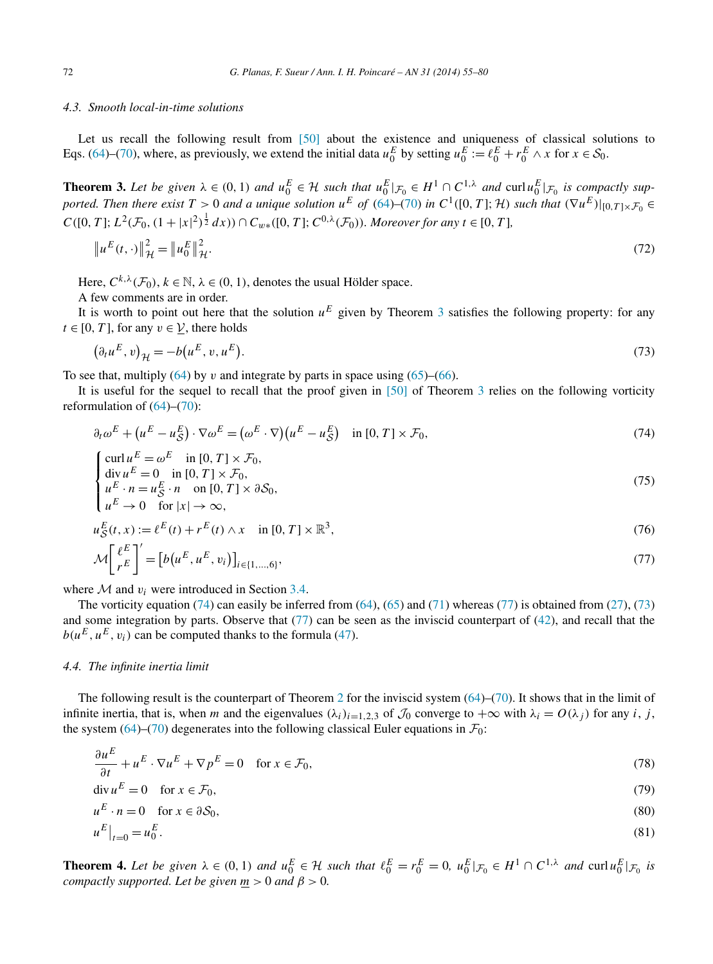#### <span id="page-17-0"></span>*4.3. Smooth local-in-time solutions*

Let us recall the following result from [\[50\]](#page-24-0) about the existence and uniqueness of classical solutions to Eqs. [\(64\)](#page-16-0)–[\(70\)](#page-16-0), where, as previously, we extend the initial data  $u_0^E$  by setting  $u_0^E := \ell_0^E + r_0^E \wedge x$  for  $x \in S_0$ .

**Theorem 3.** Let be given  $\lambda \in (0,1)$  and  $u_0^E \in \mathcal{H}$  such that  $u_0^E|_{\mathcal{F}_0} \in H^1 \cap C^{1,\lambda}$  and  $\text{curl } u_0^E|_{\mathcal{F}_0}$  is compactly supported. Then there exist  $T > 0$  and a unique solution  $u^E$  of [\(64\)](#page-16-0)–[\(70\)](#page-16-0) in  $C^1([0, T]; \mathcal{H})$  such that  $(\nabla u^E)|_{[0, T] \times \mathcal{F}_0} \in$ *C*([0*, T*];  $L^2(\mathcal{F}_0, (1+|x|^2)^{\frac{1}{2}} dx)$ ) ∩  $C_{w*}([0, T]; C^{0,\lambda}(\mathcal{F}_0))$ *. Moreover for any*  $t \in [0, T]$ *,* 

$$
\|u^{E}(t,\cdot)\|_{\mathcal{H}}^{2} = \|u_{0}^{E}\|_{\mathcal{H}}^{2}.
$$
\n(72)

Here,  $C^{k,\lambda}(\mathcal{F}_0)$ ,  $k \in \mathbb{N}$ ,  $\lambda \in (0, 1)$ , denotes the usual Hölder space.

A few comments are in order.

It is worth to point out here that the solution  $u^E$  given by Theorem 3 satisfies the following property: for any  $t \in [0, T]$ , for any  $v \in V$ , there holds

$$
\left(\partial_t u^E, v\right)_{\mathcal{H}} = -b\left(u^E, v, u^E\right). \tag{73}
$$

To see that, multiply [\(64\)](#page-16-0) by *v* and integrate by parts in space using [\(65\)](#page-16-0)–[\(66\)](#page-16-0).

It is useful for the sequel to recall that the proof given in [\[50\]](#page-24-0) of Theorem 3 relies on the following vorticity reformulation of [\(64\)](#page-16-0)–[\(70\)](#page-16-0):

$$
\partial_t \omega^E + \left( u^E - u^E_{\mathcal{S}} \right) \cdot \nabla \omega^E = \left( \omega^E \cdot \nabla \right) \left( u^E - u^E_{\mathcal{S}} \right) \quad \text{in } [0, T] \times \mathcal{F}_0,
$$
\n
$$
\left( \begin{array}{cc} 1 & F & F \\ 0 & F & F \end{array} \right) \cdot \nabla \omega^E = \left( \omega^E \cdot \nabla \right) \left( u^E - u^E_{\mathcal{S}} \right) \quad \text{in } [0, T] \times \mathcal{F}_0,
$$
\n
$$
(74)
$$

$$
\begin{cases}\n\operatorname{curl} u^E = \omega^E & \text{in } [0, T] \times \mathcal{F}_0, \\
\operatorname{div} u^E = 0 & \text{in } [0, T] \times \mathcal{F}_0, \\
u^E \cdot n = u^E \cdot n & \text{on } [0, T] \times \partial \mathcal{S}_0,\n\end{cases}
$$
\n(75)

$$
\begin{cases}\n u^E \cdot n = u_S^E \cdot n & \text{on } [0, T] \times \partial S_0, \\
 u^E \to 0 & \text{for } |x| \to \infty,\n\end{cases}
$$
\n(15)

$$
u_{\mathcal{S}}^{E}(t,x) := \ell^{E}(t) + r^{E}(t) \wedge x \quad \text{in } [0,T] \times \mathbb{R}^{3}, \tag{76}
$$

$$
\mathcal{M}\left[\begin{matrix} \ell^E \\ r^E \end{matrix}\right]' = \left[b\left(u^E, u^E, v_i\right)\right]_{i \in \{1, \dots, 6\}},\tag{77}
$$

where  $M$  and  $v_i$  were introduced in Section [3.4.](#page-11-0)

The vorticity equation (74) can easily be inferred from [\(64\)](#page-16-0), [\(65\)](#page-16-0) and [\(71\)](#page-16-0) whereas (77) is obtained from [\(27\)](#page-7-0), (73) and some integration by parts. Observe that (77) can be seen as the inviscid counterpart of [\(42\)](#page-11-0), and recall that the  $b(u^E, u^E, v_i)$  can be computed thanks to the formula [\(47\)](#page-13-0).

## *4.4. The infinite inertia limit*

The following result is the counterpart of Theorem [2](#page-14-0) for the inviscid system  $(64)$ – $(70)$ . It shows that in the limit of infinite inertia, that is, when *m* and the eigenvalues  $(\lambda_i)_{i=1,2,3}$  of  $\mathcal{J}_0$  converge to  $+\infty$  with  $\lambda_i = O(\lambda_i)$  for any *i*, *j*, the system [\(64\)](#page-16-0)–[\(70\)](#page-16-0) degenerates into the following classical Euler equations in  $\mathcal{F}_0$ :

$$
\frac{\partial u^E}{\partial t} + u^E \cdot \nabla u^E + \nabla p^E = 0 \quad \text{for } x \in \mathcal{F}_0,
$$
\n
$$
(78)
$$

$$
\operatorname{div} u^E = 0 \quad \text{for } x \in \mathcal{F}_0,\tag{79}
$$

$$
u^E \cdot n = 0 \quad \text{for } x \in \partial S_0,\tag{80}
$$

$$
u^E|_{t=0} = u_0^E. \tag{81}
$$

**Theorem 4.** Let be given  $\lambda \in (0, 1)$  and  $u_0^E \in \mathcal{H}$  such that  $\ell_0^E = r_0^E = 0$ ,  $u_0^E | \mathcal{F}_0 \in H^1 \cap C^{1,\lambda}$  and  $\text{curl } u_0^E | \mathcal{F}_0$  is *compactly supported. Let be given*  $m > 0$  *and*  $\beta > 0$ *.*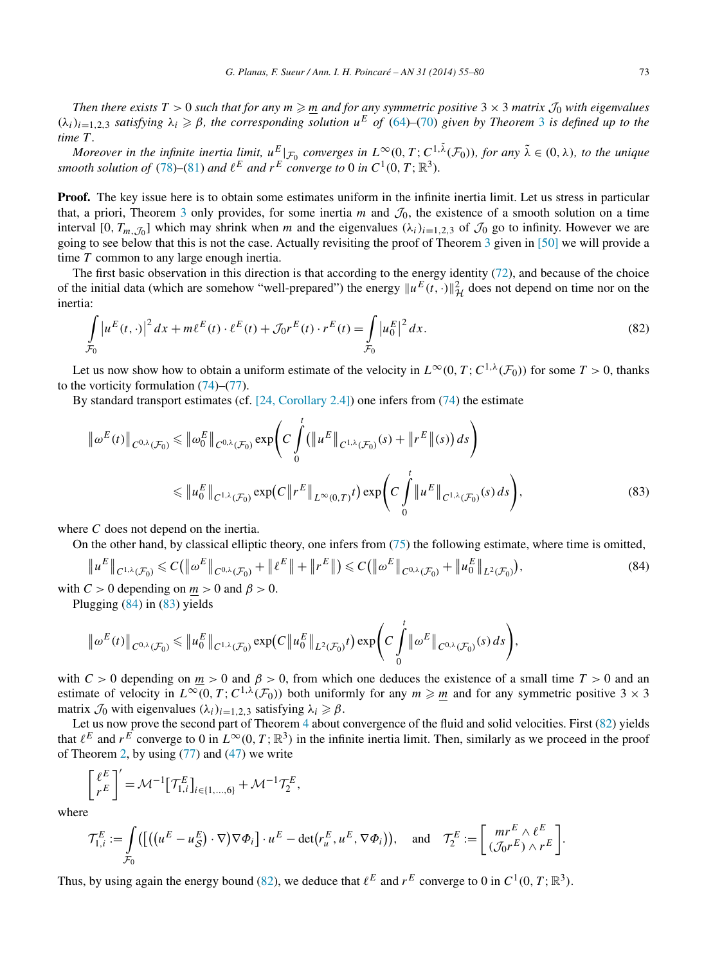*Then there exists*  $T > 0$  *such that for any*  $m \geq m$  *and for any symmetric positive*  $3 \times 3$  *matrix*  $\mathcal{J}_0$  *with eigenvalues*  $(\lambda_i)_{i=1,2,3}$  $(\lambda_i)_{i=1,2,3}$  $(\lambda_i)_{i=1,2,3}$  *satisfying*  $\lambda_i \geq \beta$ , the corresponding solution  $u^E$  of [\(64\)](#page-16-0)–[\(70\)](#page-16-0) given by Theorem 3 is defined up to the *time T .*

*Moreover in the infinite inertia limit,*  $u^E|\mathcal{F}_0$  *converges in*  $L^{\infty}(0, T; C^{1,\tilde{\lambda}}(\mathcal{F}_0))$ *, for any*  $\tilde{\lambda} \in (0, \lambda)$ *, to the unique smooth solution of* [\(78\)](#page-17-0)–[\(81\)](#page-17-0) *and*  $\ell^E$  *and*  $r^E$  *converge to* 0 *in*  $C^1(0, T; \mathbb{R}^3)$ *.* 

**Proof.** The key issue here is to obtain some estimates uniform in the infinite inertia limit. Let us stress in particular that, a priori, Theorem [3](#page-17-0) only provides, for some inertia  $m$  and  $\mathcal{J}_0$ , the existence of a smooth solution on a time interval [0,  $T_{m,\mathcal{T}_0}$ ] which may shrink when *m* and the eigenvalues  $(\lambda_i)_{i=1,2,3}$  of  $\mathcal{T}_0$  go to infinity. However we are going to see below that this is not the case. Actually revisiting the proof of Theorem [3](#page-17-0) given in [\[50\]](#page-24-0) we will provide a time *T* common to any large enough inertia.

The first basic observation in this direction is that according to the energy identity [\(72\)](#page-17-0), and because of the choice of the initial data (which are somehow "well-prepared") the energy  $||u^E(t, \cdot)||^2_{\mathcal{H}}$  does not depend on time nor on the inertia:

$$
\int_{\mathcal{F}_0} \left| u^E(t, \cdot) \right|^2 dx + m\ell^E(t) \cdot \ell^E(t) + \mathcal{J}_0 r^E(t) \cdot r^E(t) = \int_{\mathcal{F}_0} \left| u_0^E \right|^2 dx.
$$
\n(82)

Let us now show how to obtain a uniform estimate of the velocity in  $L^{\infty}(0, T; C^{1,\lambda}(\mathcal{F}_0))$  for some  $T > 0$ , thanks to the vorticity formulation [\(74\)](#page-17-0)–[\(77\)](#page-17-0).

By standard transport estimates (cf. [24, [Corollary 2.4\]\)](#page-24-0) one infers from [\(74\)](#page-17-0) the estimate

$$
\|\omega^{E}(t)\|_{C^{0,\lambda}(\mathcal{F}_{0})} \leq \|\omega_{0}^{E}\|_{C^{0,\lambda}(\mathcal{F}_{0})} \exp\left(C\int_{0}^{t} (\|u^{E}\|_{C^{1,\lambda}(\mathcal{F}_{0})}(s) + \|r^{E}\|(s)) ds\right)
$$
  

$$
\leq \|u_{0}^{E}\|_{C^{1,\lambda}(\mathcal{F}_{0})} \exp(C\|r^{E}\|_{L^{\infty}(0,T)}t) \exp\left(C\int_{0}^{t} \|u^{E}\|_{C^{1,\lambda}(\mathcal{F}_{0})}(s) ds\right),
$$
 (83)

where *C* does not depend on the inertia.

On the other hand, by classical elliptic theory, one infers from [\(75\)](#page-17-0) the following estimate, where time is omitted,

$$
\|u^{E}\|_{C^{1,\lambda}(\mathcal{F}_{0})} \leqslant C(\|\omega^{E}\|_{C^{0,\lambda}(\mathcal{F}_{0})} + \|\ell^{E}\| + \|r^{E}\|) \leqslant C(\|\omega^{E}\|_{C^{0,\lambda}(\mathcal{F}_{0})} + \|u_{0}^{E}\|_{L^{2}(\mathcal{F}_{0})}),
$$
\n(84)

with  $C > 0$  depending on  $m > 0$  and  $\beta > 0$ .

Plugging (84) in (83) yields

$$
\|\omega^{E}(t)\|_{C^{0,\lambda}(\mathcal{F}_{0})} \leq \|u_{0}^{E}\|_{C^{1,\lambda}(\mathcal{F}_{0})} \exp(C\|u_{0}^{E}\|_{L^{2}(\mathcal{F}_{0})}t) \exp\Biggl(C\int_{0}^{t} \|\omega^{E}\|_{C^{0,\lambda}(\mathcal{F}_{0})}(s) ds\Biggr),
$$

with  $C > 0$  depending on  $m > 0$  and  $\beta > 0$ , from which one deduces the existence of a small time  $T > 0$  and an estimate of velocity in  $L^{\infty}(0, T; C^{1,\lambda}(\mathcal{F}_0))$  both uniformly for any  $m \geq m$  and for any symmetric positive 3 × 3 matrix  $\mathcal{J}_0$  with eigenvalues  $(\lambda_i)_{i=1,2,3}$  satisfying  $\lambda_i \geq \beta$ .

Let us now prove the second part of Theorem [4](#page-17-0) about convergence of the fluid and solid velocities. First (82) yields that  $\ell^E$  and  $r^E$  converge to 0 in  $L^\infty(0,T;\mathbb{R}^3)$  in the infinite inertia limit. Then, similarly as we proceed in the proof of Theorem [2,](#page-14-0) by using [\(77\)](#page-17-0) and [\(47\)](#page-13-0) we write

$$
\begin{bmatrix} \ell^E \\ r^E \end{bmatrix}' = \mathcal{M}^{-1} \big[ \mathcal{T}_{1,i}^E \big]_{i \in \{1,\dots,6\}} + \mathcal{M}^{-1} \mathcal{T}_2^E,
$$

where

$$
\mathcal{T}_{1,i}^E := \int\limits_{\mathcal{F}_0} \left( \left[ \left( \left( u^E - u_{\mathcal{S}}^E \right) \cdot \nabla \right) \nabla \Phi_i \right] \cdot u^E - \det(r_u^E, u^E, \nabla \Phi_i) \right), \text{ and } \mathcal{T}_2^E := \left[ \begin{array}{c} mr^E \wedge \ell^E \\ (\mathcal{J}_0 r^E) \wedge r^E \end{array} \right].
$$

Thus, by using again the energy bound (82), we deduce that  $\ell^E$  and  $r^E$  converge to 0 in  $C^1(0, T; \mathbb{R}^3)$ .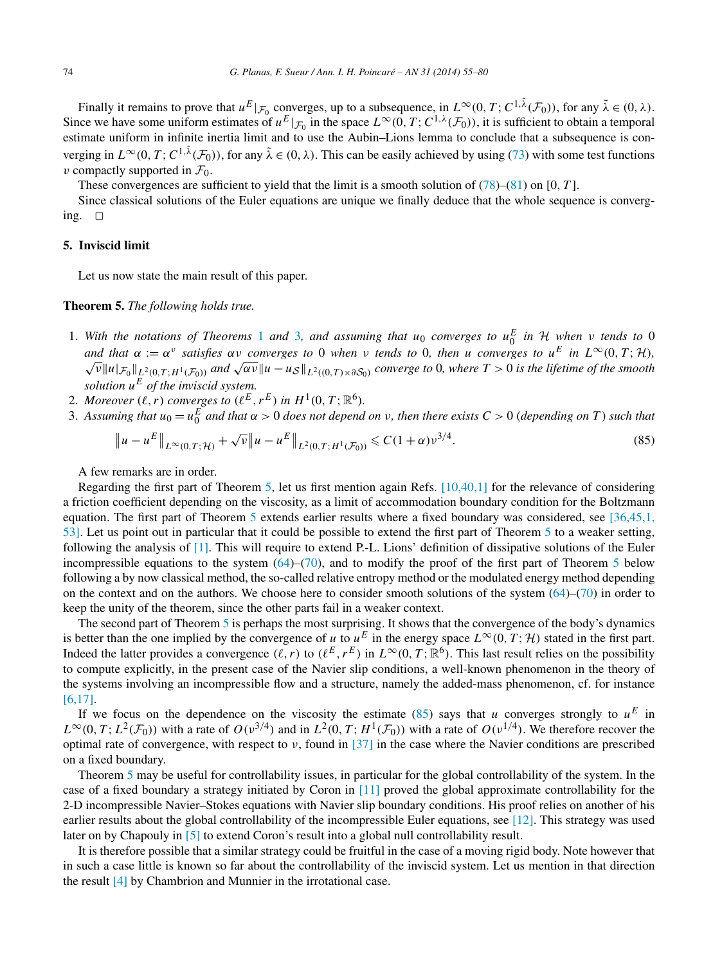<span id="page-19-0"></span>Finally it remains to prove that  $u^E|_{\mathcal{F}_0}$  converges, up to a subsequence, in  $L^\infty(0, T; C^{1, \tilde{\lambda}}(\mathcal{F}_0))$ , for any  $\tilde{\lambda} \in (0, \lambda)$ . Since we have some uniform estimates of  $u^E|_{\mathcal{F}_0}$  in the space  $L^\infty(0, T; C^{1,\lambda}(\mathcal{F}_0))$ , it is sufficient to obtain a temporal estimate uniform in infinite inertia limit and to use the Aubin–Lions lemma to conclude that a subsequence is converging in  $L^{\infty}(0, T; C^{1,\tilde{\lambda}}(\mathcal{F}_0))$ , for any  $\tilde{\lambda} \in (0, \lambda)$ . This can be easily achieved by using [\(73\)](#page-17-0) with some test functions *v* compactly supported in  $\mathcal{F}_0$ .

These convergences are sufficient to yield that the limit is a smooth solution of [\(78\)](#page-17-0)–[\(81\)](#page-17-0) on [0*, T* ].

Since classical solutions of the Euler equations are unique we finally deduce that the whole sequence is converging.  $\square$ 

## **5. Inviscid limit**

Let us now state the main result of this paper.

### **Theorem 5.** *The following holds true.*

- [1](#page-8-0). With the notations of Theorems 1 and [3](#page-17-0), and assuming that  $u_0$  converges to  $u_0^E$  in H when *v* tends to 0 and that  $\alpha := \alpha^{\nu}$  satisfies  $\alpha \nu$  converges to 0 when  $\nu$  tends to 0, then  $u$  converges to  $u^E$  in  $L^{\infty}(0, T; \mathcal{H})$ ,<br>  $\sqrt{\nu} ||u||_{\mathcal{F}_0} ||_{L^2(0, T; H^1(\mathcal{F}_0))}$  and  $\sqrt{\alpha \nu} ||u - u_{\mathcal{S}}||_{L^2((0, T) \times \partial \mathcal{S}_0)}$  conve *solution uE of the inviscid system.*
- 2. Moreover  $(\ell, r)$  converges to  $(\ell^E, r^E)$  in  $H^1(0, T; \mathbb{R}^6)$ .
- 3. Assuming that  $u_0 = u_0^E$  and that  $\alpha > 0$  does not depend on  $\nu$ , then there exists  $C > 0$  (depending on T) such that

$$
\|u - u^E\|_{L^{\infty}(0,T;\mathcal{H})} + \sqrt{\nu} \|u - u^E\|_{L^2(0,T;H^1(\mathcal{F}_0))} \leq C(1+\alpha)\nu^{3/4}.
$$
\n(85)

A few remarks are in order.

Regarding the first part of Theorem 5, let us first mention again Refs. [\[10,40,1\]](#page-23-0) for the relevance of considering a friction coefficient depending on the viscosity, as a limit of accommodation boundary condition for the Boltzmann equation. The first part of Theorem 5 extends earlier results where a fixed boundary was considered, see [\[36,45,1,](#page-24-0) [53\].](#page-24-0) Let us point out in particular that it could be possible to extend the first part of Theorem 5 to a weaker setting, following the analysis of [\[1\].](#page-23-0) This will require to extend P.-L. Lions' definition of dissipative solutions of the Euler incompressible equations to the system [\(64\)](#page-16-0)–[\(70\)](#page-16-0), and to modify the proof of the first part of Theorem 5 below following a by now classical method, the so-called relative entropy method or the modulated energy method depending on the context and on the authors. We choose here to consider smooth solutions of the system  $(64)$ – $(70)$  in order to keep the unity of the theorem, since the other parts fail in a weaker context.

The second part of Theorem 5 is perhaps the most surprising. It shows that the convergence of the body's dynamics is better than the one implied by the convergence of *u* to  $u^E$  in the energy space  $L^\infty(0,T; \mathcal{H})$  stated in the first part. Indeed the latter provides a convergence  $(\ell, r)$  to  $(\ell^E, r^E)$  in  $L^\infty(0, T; \mathbb{R}^6)$ . This last result relies on the possibility to compute explicitly, in the present case of the Navier slip conditions, a well-known phenomenon in the theory of the systems involving an incompressible flow and a structure, namely the added-mass phenomenon, cf. for instance [\[6,17\].](#page-23-0)

If we focus on the dependence on the viscosity the estimate  $(85)$  says that *u* converges strongly to  $u<sup>E</sup>$  in  $L^{\infty}(0,T; L^2(\mathcal{F}_0))$  with a rate of  $O(v^{3/4})$  and in  $L^2(0,T; H^1(\mathcal{F}_0))$  with a rate of  $O(v^{1/4})$ . We therefore recover the optimal rate of convergence, with respect to *ν*, found in [\[37\]](#page-24-0) in the case where the Navier conditions are prescribed on a fixed boundary.

Theorem 5 may be useful for controllability issues, in particular for the global controllability of the system. In the case of a fixed boundary a strategy initiated by Coron in [\[11\]](#page-23-0) proved the global approximate controllability for the 2-D incompressible Navier–Stokes equations with Navier slip boundary conditions. His proof relies on another of his earlier results about the global controllability of the incompressible Euler equations, see [\[12\].](#page-23-0) This strategy was used later on by Chapouly in [\[5\]](#page-23-0) to extend Coron's result into a global null controllability result.

It is therefore possible that a similar strategy could be fruitful in the case of a moving rigid body. Note however that in such a case little is known so far about the controllability of the inviscid system. Let us mention in that direction the result [\[4\]](#page-23-0) by Chambrion and Munnier in the irrotational case.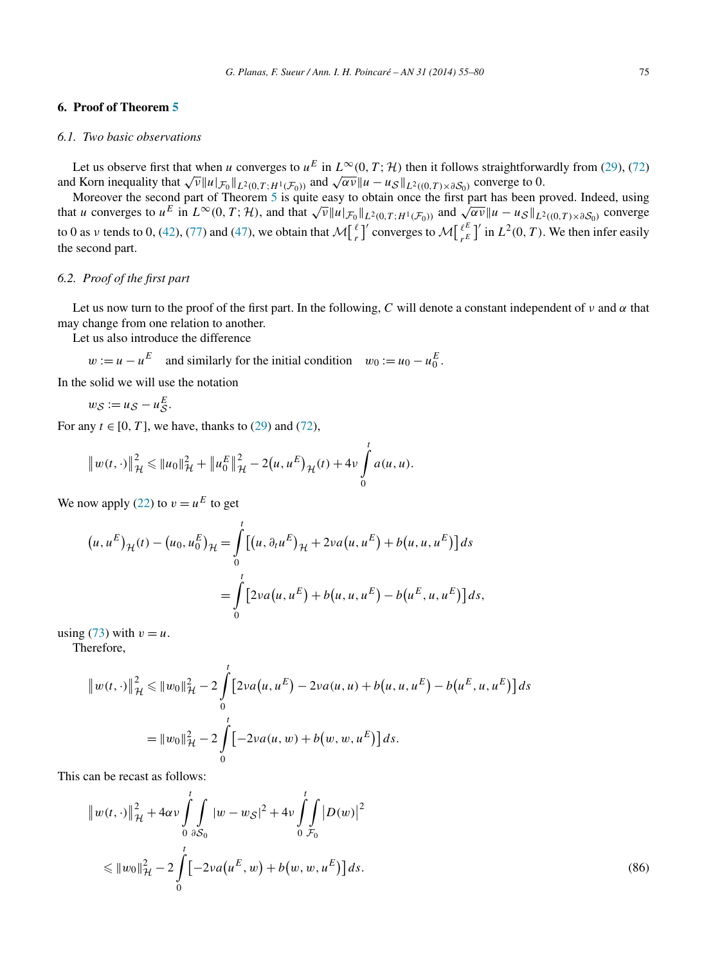## <span id="page-20-0"></span>**6. Proof of Theorem [5](#page-19-0)**

#### *6.1. Two basic observations*

Let us observe first that when *u* converges to  $u^E$  in  $L^\infty(0, T; \mathcal{H})$  then it follows straightforwardly from [\(29\)](#page-8-0), [\(72\)](#page-17-0) Let us observe first that when u converges to u in  $L^1(0, T, \pi)$  then it follows straightfolwatchly from (29), (12)<br>and Korn inequality that  $\sqrt{v} ||u|_{\mathcal{F}_0} ||_{L^2(0,T;H^1(\mathcal{F}_0))}$  and  $\sqrt{\alpha v} ||u - u_S||_{L^2((0,T) \times \partial S_0)}$  conv

that u converges to  $u^E$  in  $L^{\infty}(0, T; \mathcal{H})$ , and that  $\sqrt{v} ||u|_{\mathcal{F}_0} ||_{L^2(0, T; H^1(\mathcal{F}_0))}$  and  $\sqrt{\alpha v} ||u - u_{\mathcal{S}}||_{L^2((0, T) \times \partial \mathcal{S}_0)}$  converges to 0 as *ν* tends to 0, [\(42\)](#page-11-0), [\(77\)](#page-17-0) and [\(47\)](#page-13-0), we obtain that  $\mathcal{M} \begin{bmatrix} \ell \\ r \end{bmatrix}$  $\binom{\ell}{r}$ <sup>*c*</sup> converges to  $\mathcal{M} \left[ \frac{\ell^E}{r^E} \right]$  $\int_{r^E}^{p^E}$   $\int$  in  $L^2(0, T)$ . We then infer easily the second part.

#### *6.2. Proof of the first part*

Let us now turn to the proof of the first part. In the following, *C* will denote a constant independent of  $\nu$  and  $\alpha$  that may change from one relation to another.

Let us also introduce the difference

 $w := u - u^E$  and similarly for the initial condition  $w_0 := u_0 - u_0^E$ .

In the solid we will use the notation

$$
w_{\mathcal{S}} := u_{\mathcal{S}} - u_{\mathcal{S}}^E.
$$

For any  $t \in [0, T]$ , we have, thanks to [\(29\)](#page-8-0) and [\(72\)](#page-17-0),

$$
||w(t,\cdot)||_{\mathcal{H}}^{2} \leq ||u_{0}||_{\mathcal{H}}^{2} + ||u_{0}^{E}||_{\mathcal{H}}^{2} - 2(u,u^{E})_{\mathcal{H}}(t) + 4\nu \int_{0}^{t} a(u,u).
$$

We now apply [\(22\)](#page-5-0) to  $v = u^E$  to get

$$
(u, u^{E})_{\mathcal{H}}(t) - (u_{0}, u_{0}^{E})_{\mathcal{H}} = \int_{0}^{t} [(u, \partial_{t} u^{E})_{\mathcal{H}} + 2va(u, u^{E}) + b(u, u, u^{E})] ds
$$
  
= 
$$
\int_{0}^{t} [2va(u, u^{E}) + b(u, u, u^{E}) - b(u^{E}, u, u^{E})] ds,
$$

using [\(73\)](#page-17-0) with  $v = u$ .

Therefore,

$$
\|w(t,\cdot)\|_{\mathcal{H}}^2 \le \|w_0\|_{\mathcal{H}}^2 - 2 \int_0^t \left[2va(u,u^E) - 2va(u,u) + b(u,u,u^E) - b(u^E,u,u^E)\right] ds
$$
  
= 
$$
\|w_0\|_{\mathcal{H}}^2 - 2 \int_0^t \left[-2va(u,w) + b(w,w,u^E)\right] ds.
$$

This can be recast as follows:

$$
||w(t, \cdot)||_{\mathcal{H}}^{2} + 4\alpha v \int_{0}^{t} \int_{\partial S_{0}} |w - w_{\mathcal{S}}|^{2} + 4v \int_{0}^{t} \int_{\mathcal{F}_{0}} |D(w)|^{2}
$$
  

$$
\leq ||w_{0}||_{\mathcal{H}}^{2} - 2 \int_{0}^{t} \left[ -2va(u^{E}, w) + b(w, w, u^{E}) \right] ds.
$$
 (86)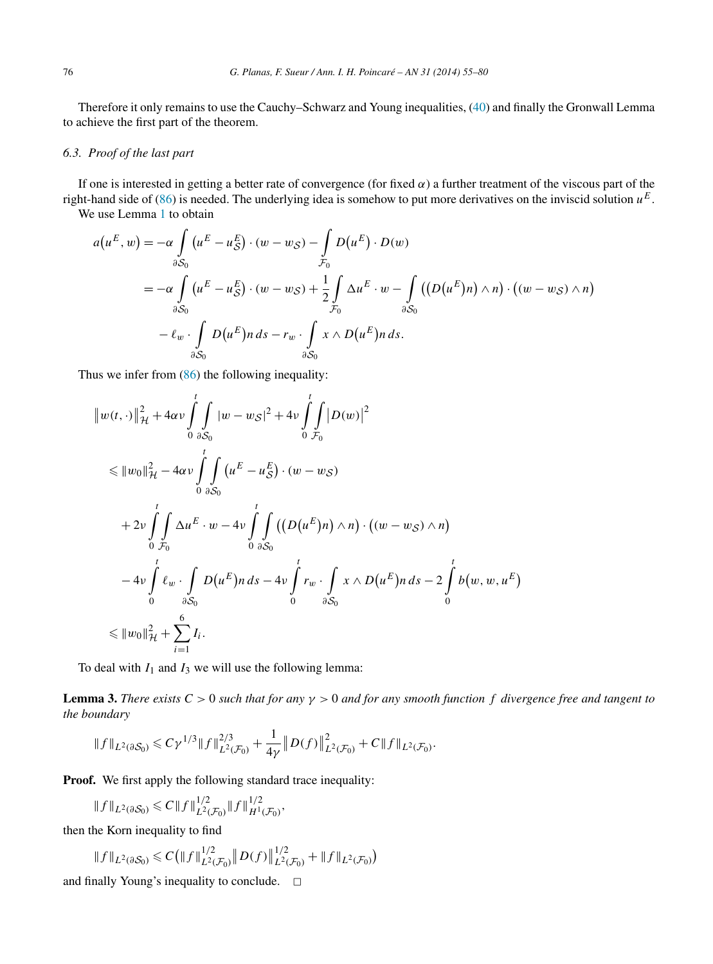<span id="page-21-0"></span>Therefore it only remains to use the Cauchy–Schwarz and Young inequalities, [\(40\)](#page-11-0) and finally the Gronwall Lemma to achieve the first part of the theorem.

## *6.3. Proof of the last part*

If one is interested in getting a better rate of convergence (for fixed  $\alpha$ ) a further treatment of the viscous part of the right-hand side of [\(86\)](#page-20-0) is needed. The underlying idea is somehow to put more derivatives on the inviscid solution *uE*.

We use Lemma [1](#page-4-0) to obtain

$$
a(u^{E}, w) = -\alpha \int_{\partial S_{0}} (u^{E} - u^{E}_{S}) \cdot (w - w_{S}) - \int_{\mathcal{F}_{0}} D(u^{E}) \cdot D(w)
$$
  
=  $-\alpha \int_{\partial S_{0}} (u^{E} - u^{E}_{S}) \cdot (w - w_{S}) + \frac{1}{2} \int_{\mathcal{F}_{0}} \Delta u^{E} \cdot w - \int_{\partial S_{0}} ((D(u^{E})n) \wedge n) \cdot ((w - w_{S}) \wedge n)$   
 $- \ell_{w} \cdot \int_{\partial S_{0}} D(u^{E})n ds - r_{w} \cdot \int_{\partial S_{0}} x \wedge D(u^{E})n ds.$ 

Thus we infer from [\(86\)](#page-20-0) the following inequality:

$$
||w(t, \cdot)||_{\mathcal{H}}^{2} + 4\alpha v \int_{0}^{t} \int_{\partial S_{0}} |w - w_{S}|^{2} + 4v \int_{0}^{t} \int_{\mathcal{F}_{0}} |D(w)|^{2}
$$
  
\n
$$
\leq ||w_{0}||_{\mathcal{H}}^{2} - 4\alpha v \int_{0}^{t} \int_{\partial S_{0}} (u^{E} - u^{E}_{S}) \cdot (w - w_{S})
$$
  
\n
$$
+ 2v \int_{0}^{t} \int_{\mathcal{F}_{0}} \Delta u^{E} \cdot w - 4v \int_{0}^{t} \int_{\partial S_{0}} ((D(u^{E})n) \wedge n) \cdot ((w - w_{S}) \wedge n)
$$
  
\n
$$
- 4v \int_{0}^{t} \ell_{w} \cdot \int_{\partial S_{0}} D(u^{E})n ds - 4v \int_{0}^{t} r_{w} \cdot \int_{\partial S_{0}} x \wedge D(u^{E})n ds - 2 \int_{0}^{t} b(w, w, u^{E})
$$
  
\n
$$
\leq ||w_{0}||_{\mathcal{H}}^{2} + \sum_{i=1}^{6} I_{i}.
$$

To deal with  $I_1$  and  $I_3$  we will use the following lemma:

**Lemma 3.** *There exists C >* 0 *such that for any γ >* 0 *and for any smooth function f divergence free and tangent to the boundary*

$$
\|f\|_{L^2(\partial \mathcal{S}_0)} \leqslant C\gamma^{1/3} \|f\|_{L^2(\mathcal{F}_0)}^{2/3} + \frac{1}{4\gamma} \|D(f)\|_{L^2(\mathcal{F}_0)}^2 + C\|f\|_{L^2(\mathcal{F}_0)}.
$$

**Proof.** We first apply the following standard trace inequality:

$$
||f||_{L^2(\partial \mathcal{S}_0)} \leq C||f||_{L^2(\mathcal{F}_0)}^{1/2} ||f||_{H^1(\mathcal{F}_0)}^{1/2},
$$

then the Korn inequality to find

$$
\|f\|_{L^2(\partial \mathcal{S}_0)} \leq C \big(\|f\|_{L^2(\mathcal{F}_0)}^{1/2} \|D(f)\|_{L^2(\mathcal{F}_0)}^{1/2} + \|f\|_{L^2(\mathcal{F}_0)}\big)
$$

and finally Young's inequality to conclude.  $\Box$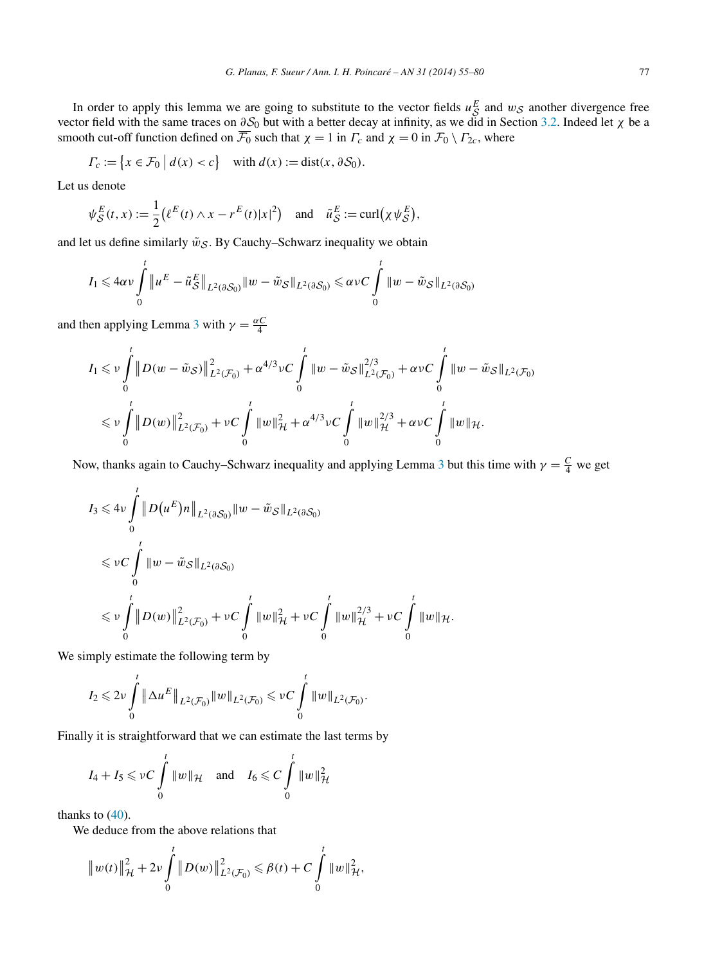In order to apply this lemma we are going to substitute to the vector fields  $u^E_S$  and  $w_S$  another divergence free<br>that field with the came traces on 3.5 but with a hetter decey at infinity as we did in Section 3.2. Ind vector field with the same traces on  $\frac{\partial S_0}{\partial \overline{S}}$  but with a better decay at infinity, as we did in Section [3.2.](#page-4-0) Indeed let *χ* be a smooth cut-off function defined on  $\mathcal{F}_0$  such that  $\chi = 1$  in  $\Gamma_c$  and  $\chi = 0$  in  $\mathcal{F}_0 \setminus \Gamma_{2c}$ , where

$$
\Gamma_c := \{ x \in \mathcal{F}_0 \mid d(x) < c \} \quad \text{with } d(x) := \text{dist}(x, \partial \mathcal{S}_0).
$$

Let us denote

$$
\psi_{\mathcal{S}}^{E}(t,x) := \frac{1}{2} \big( \ell^{E}(t) \wedge x - r^{E}(t) |x|^{2} \big) \quad \text{and} \quad \tilde{u}_{\mathcal{S}}^{E} := \text{curl} \big( \chi \psi_{\mathcal{S}}^{E} \big),
$$

and let us define similarly  $\tilde{w}_s$ . By Cauchy–Schwarz inequality we obtain

$$
I_1 \leqslant 4\alpha\nu \int\limits_{0}^{t} \|u^E - \tilde{u}^E_{\mathcal{S}}\|_{L^2(\partial \mathcal{S}_0)} \|w - \tilde{w}_{\mathcal{S}}\|_{L^2(\partial \mathcal{S}_0)} \leqslant \alpha\nu C \int\limits_{0}^{t} \|w - \tilde{w}_{\mathcal{S}}\|_{L^2(\partial \mathcal{S}_0)}
$$

and then applying Lemma [3](#page-21-0) with  $\gamma = \frac{\alpha C}{4}$ 

$$
I_1 \leq v \int_0^t \|D(w - \tilde{w}_{\mathcal{S}})\|_{L^2(\mathcal{F}_0)}^2 + \alpha^{4/3} v \mathcal{C} \int_0^t \|w - \tilde{w}_{\mathcal{S}}\|_{L^2(\mathcal{F}_0)}^{2/3} + \alpha v \mathcal{C} \int_0^t \|w - \tilde{w}_{\mathcal{S}}\|_{L^2(\mathcal{F}_0)}^{2} \n\leq v \int_0^t \|D(w)\|_{L^2(\mathcal{F}_0)}^2 + v \mathcal{C} \int_0^t \|w\|_{\mathcal{H}}^2 + \alpha^{4/3} v \mathcal{C} \int_0^t \|w\|_{\mathcal{H}}^{2/3} + \alpha v \mathcal{C} \int_0^t \|w\|_{\mathcal{H}}.
$$

Now, thanks again to Cauchy–Schwarz inequality and applying Lemma [3](#page-21-0) but this time with  $\gamma = \frac{C}{4}$  we get

$$
I_3 \leq 4\nu \int_{0}^{t} \|D(u^{E})n\|_{L^{2}(\partial S_0)} \|w - \tilde{w}_{S}\|_{L^{2}(\partial S_0)}
$$
  

$$
\leq \nu C \int_{0}^{t} \|w - \tilde{w}_{S}\|_{L^{2}(\partial S_0)}
$$
  

$$
\leq \nu \int_{0}^{t} \|D(w)\|_{L^{2}(\mathcal{F}_{0})}^{2} + \nu C \int_{0}^{t} \|w\|_{\mathcal{H}}^{2} + \nu C \int_{0}^{t} \|w\|_{\mathcal{H}}^{2/3} + \nu C \int_{0}^{t} \|w\|_{\mathcal{H}}.
$$

We simply estimate the following term by

$$
I_2\leq 2\nu\int\limits_0^t\|\Delta u^E\|_{L^2(\mathcal{F}_0)}\|w\|_{L^2(\mathcal{F}_0)}\leqslant \nu C\int\limits_0^t\|w\|_{L^2(\mathcal{F}_0)}.
$$

Finally it is straightforward that we can estimate the last terms by

$$
I_4 + I_5 \leqslant \nu C \int\limits_0^t \|w\|_{\mathcal{H}} \quad \text{and} \quad I_6 \leqslant C \int\limits_0^t \|w\|_{\mathcal{H}}^2
$$

thanks to  $(40)$ .

We deduce from the above relations that

$$
||w(t)||_{\mathcal{H}}^{2}+2\nu\int_{0}^{t}||D(w)||_{L^{2}(\mathcal{F}_{0})}^{2} \leq \beta(t)+C\int_{0}^{t}||w||_{\mathcal{H}}^{2},
$$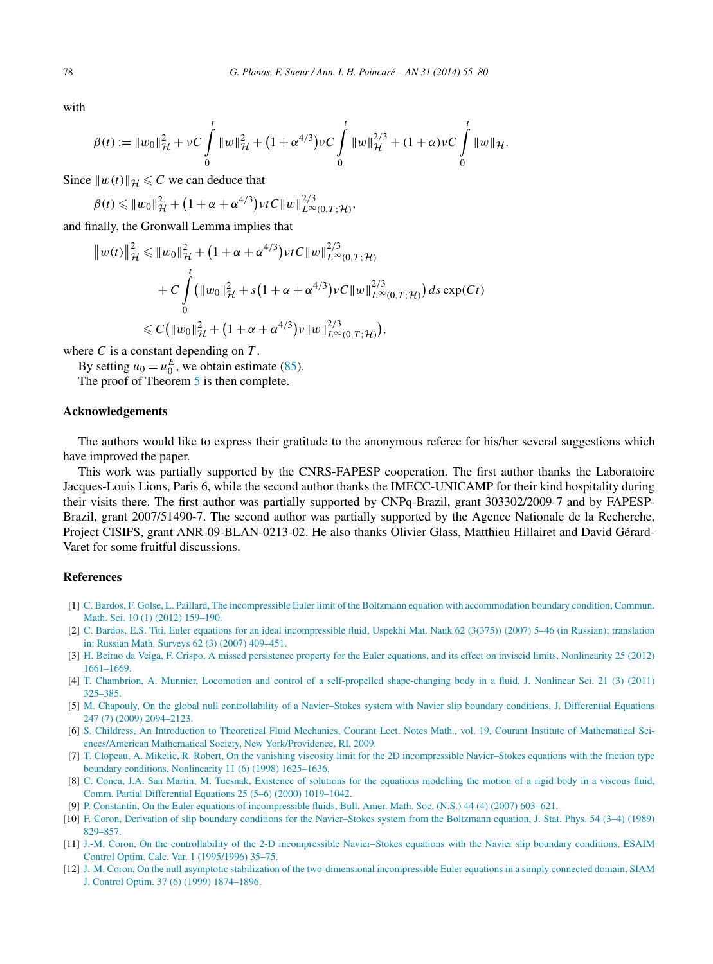<span id="page-23-0"></span>with

$$
\beta(t) := \|w_0\|_{\mathcal{H}}^2 + vC \int_0^t \|w\|_{\mathcal{H}}^2 + (1 + \alpha^{4/3})vC \int_0^t \|w\|_{\mathcal{H}}^{2/3} + (1 + \alpha)vC \int_0^t \|w\|_{\mathcal{H}}.
$$

Since  $||w(t)||_{\mathcal{H}} \leq C$  we can deduce that

$$
\beta(t) \leq \|w_0\|_{\mathcal{H}}^2 + \big(1 + \alpha + \alpha^{4/3}\big) \nu t C \|w\|_{L^{\infty}(0,T; \mathcal{H})}^{2/3},
$$

and finally, the Gronwall Lemma implies that

$$
\|w(t)\|_{\mathcal{H}}^2 \le \|w_0\|_{\mathcal{H}}^2 + (1 + \alpha + \alpha^{4/3}) \nu t C \|w\|_{L^{\infty}(0,T;\mathcal{H})}^{2/3}
$$
  
+  $C \int_0^t (\|w_0\|_{\mathcal{H}}^2 + s(1 + \alpha + \alpha^{4/3}) \nu C \|w\|_{L^{\infty}(0,T;\mathcal{H})}^{2/3}) ds \exp(Ct)$   
 $\le C (\|w_0\|_{\mathcal{H}}^2 + (1 + \alpha + \alpha^{4/3}) \nu \|w\|_{L^{\infty}(0,T;\mathcal{H})}^{2/3}),$ 

where *C* is a constant depending on *T* .

By setting  $u_0 = u_0^E$ , we obtain estimate [\(85\)](#page-19-0).

The proof of Theorem [5](#page-19-0) is then complete.

#### **Acknowledgements**

The authors would like to express their gratitude to the anonymous referee for his/her several suggestions which have improved the paper.

This work was partially supported by the CNRS-FAPESP cooperation. The first author thanks the Laboratoire Jacques-Louis Lions, Paris 6, while the second author thanks the IMECC-UNICAMP for their kind hospitality during their visits there. The first author was partially supported by CNPq-Brazil, grant 303302/2009-7 and by FAPESP-Brazil, grant 2007/51490-7. The second author was partially supported by the Agence Nationale de la Recherche, Project CISIFS, grant ANR-09-BLAN-0213-02. He also thanks Olivier Glass, Matthieu Hillairet and David Gérard-Varet for some fruitful discussions.

#### **References**

- [1] [C. Bardos, F. Golse, L. Paillard, The incompressible Euler limit of the Boltzmann equation with accommodation boundary condition, Commun.](http://refhub.elsevier.com/S0294-1449(13)00027-9/bib424750s1) [Math. Sci. 10 \(1\) \(2012\) 159–190.](http://refhub.elsevier.com/S0294-1449(13)00027-9/bib424750s1)
- [2] C. [Bardos, E.S. Titi, Euler equations for an ideal incompressible fluid, Uspekhi Mat. Nauk 62 \(3\(375\)\) \(2007\) 5–46 \(in Russian\); translation](http://refhub.elsevier.com/S0294-1449(13)00027-9/bib426172646F7354697469s1) [in: Russian Math. Surveys 62 \(3\) \(2007\) 409–451.](http://refhub.elsevier.com/S0294-1449(13)00027-9/bib426172646F7354697469s1)
- [3] H. [Beirao da Veiga, F. Crispo, A missed persistence property for the Euler equations, and its effect on inviscid limits, Nonlinearity 25 \(2012\)](http://refhub.elsevier.com/S0294-1449(13)00027-9/bib6456s1) [1661–1669.](http://refhub.elsevier.com/S0294-1449(13)00027-9/bib6456s1)
- [4] [T. Chambrion, A. Munnier, Locomotion and control of a self-propelled shape-changing body in a fluid, J. Nonlinear Sci. 21 \(3\) \(2011\)](http://refhub.elsevier.com/S0294-1449(13)00027-9/bib434Ds1) [325–385.](http://refhub.elsevier.com/S0294-1449(13)00027-9/bib434Ds1)
- [5] M. [Chapouly, On the global null controllability of a Navier–Stokes system with Navier slip boundary conditions, J. Differential Equations](http://refhub.elsevier.com/S0294-1449(13)00027-9/bib636861706F756C79s1) [247 \(7\) \(2009\) 2094–2123.](http://refhub.elsevier.com/S0294-1449(13)00027-9/bib636861706F756C79s1)
- [6] S. [Childress, An Introduction to Theoretical Fluid Mechanics, Courant Lect. Notes Math., vol. 19, Courant Institute of Mathematical Sci](http://refhub.elsevier.com/S0294-1449(13)00027-9/bib4368696C6472657373s1)[ences/American Mathematical Society, New York/Providence, RI, 2009.](http://refhub.elsevier.com/S0294-1449(13)00027-9/bib4368696C6472657373s1)
- [7] [T. Clopeau, A. Mikelic, R. Robert, On the vanishing viscosity limit for the 2D incompressible Navier–Stokes equations with the friction type](http://refhub.elsevier.com/S0294-1449(13)00027-9/bib636D72s1) [boundary conditions, Nonlinearity 11 \(6\) \(1998\) 1625–1636.](http://refhub.elsevier.com/S0294-1449(13)00027-9/bib636D72s1)
- [8] C. [Conca, J.A. San Martin, M. Tucsnak, Existence of solutions for the equations modelling the motion of a rigid body in a viscous fluid,](http://refhub.elsevier.com/S0294-1449(13)00027-9/bib436F6E636131s1) [Comm. Partial Differential Equations 25 \(5–6\) \(2000\) 1019–1042.](http://refhub.elsevier.com/S0294-1449(13)00027-9/bib436F6E636131s1)
- [9] [P. Constantin, On the Euler equations of incompressible fluids, Bull. Amer. Math. Soc. \(N.S.\) 44 \(4\) \(2007\) 603–621.](http://refhub.elsevier.com/S0294-1449(13)00027-9/bib636F6E7374616E74696Es1)
- [10] [F. Coron, Derivation of slip boundary conditions for the Navier–Stokes system from the Boltzmann equation, J. Stat. Phys. 54 \(3–4\) \(1989\)](http://refhub.elsevier.com/S0294-1449(13)00027-9/bib636F636Fs1) [829–857.](http://refhub.elsevier.com/S0294-1449(13)00027-9/bib636F636Fs1)
- [11] J.-M. [Coron, On the controllability of the 2-D incompressible Navier–Stokes equations with the Navier slip boundary conditions, ESAIM](http://refhub.elsevier.com/S0294-1449(13)00027-9/bib636F726F6Es1) [Control Optim. Calc. Var. 1 \(1995/1996\) 35–75.](http://refhub.elsevier.com/S0294-1449(13)00027-9/bib636F726F6Es1)
- [12] J.-M. [Coron, On the null asymptotic stabilization of the two-dimensional incompressible Euler equations in a simply connected domain, SIAM](http://refhub.elsevier.com/S0294-1449(13)00027-9/bib636F726F6E32s1) [J. Control Optim. 37 \(6\) \(1999\) 1874–1896.](http://refhub.elsevier.com/S0294-1449(13)00027-9/bib636F726F6E32s1)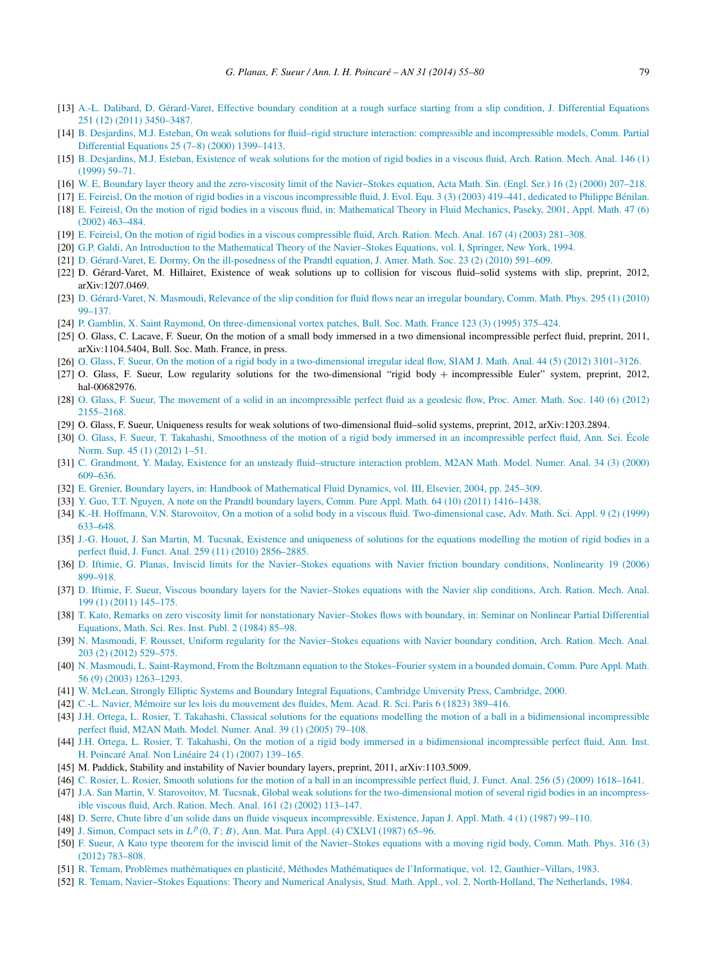- <span id="page-24-0"></span>[13] [A.-L. Dalibard, D. Gérard-Varet, Effective boundary condition at a rough surface starting from a slip condition, J. Differential Equations](http://refhub.elsevier.com/S0294-1449(13)00027-9/bib6461646776s1) [251 \(12\) \(2011\) 3450–3487.](http://refhub.elsevier.com/S0294-1449(13)00027-9/bib6461646776s1)
- [14] B. [Desjardins, M.J. Esteban, On weak solutions for fluid–rigid structure interaction: compressible and incompressible models, Comm. Partial](http://refhub.elsevier.com/S0294-1449(13)00027-9/bib444531s1) [Differential Equations 25 \(7–8\) \(2000\) 1399–1413.](http://refhub.elsevier.com/S0294-1449(13)00027-9/bib444531s1)
- [15] B. [Desjardins, M.J. Esteban, Existence of weak solutions for the motion of rigid bodies in a viscous fluid, Arch. Ration. Mech. Anal. 146 \(1\)](http://refhub.elsevier.com/S0294-1449(13)00027-9/bib444532s1) [\(1999\) 59–71.](http://refhub.elsevier.com/S0294-1449(13)00027-9/bib444532s1)
- [16] [W. E, Boundary layer theory and the zero-viscosity limit of the Navier–Stokes equation, Acta Math. Sin. \(Engl. Ser.\) 16 \(2\) \(2000\) 207–218.](http://refhub.elsevier.com/S0294-1449(13)00027-9/bib45s1)
- [17] E. [Feireisl, On the motion of rigid bodies in a viscous incompressible fluid, J. Evol. Equ. 3 \(3\) \(2003\) 419–441, dedicated to Philippe Bénilan.](http://refhub.elsevier.com/S0294-1449(13)00027-9/bib464531s1)
- [18] E. [Feireisl, On the motion of rigid bodies in a viscous fluid, in: Mathematical Theory in Fluid Mechanics, Paseky, 2001, Appl. Math. 47 \(6\)](http://refhub.elsevier.com/S0294-1449(13)00027-9/bib464532s1) [\(2002\) 463–484.](http://refhub.elsevier.com/S0294-1449(13)00027-9/bib464532s1)
- [19] E. [Feireisl, On the motion of rigid bodies in a viscous compressible fluid, Arch. Ration. Mech. Anal. 167 \(4\) \(2003\) 281–308.](http://refhub.elsevier.com/S0294-1449(13)00027-9/bib464533s1)
- [20] [G.P. Galdi, An Introduction to the Mathematical Theory of the Navier–Stokes Equations, vol. I, Springer, New York, 1994.](http://refhub.elsevier.com/S0294-1449(13)00027-9/bib47616C6469s1)
- [21] D. [Gérard-Varet, E. Dormy, On the ill-posedness of the Prandtl equation, J. Amer. Math. Soc. 23 \(2\) \(2010\) 591–609.](http://refhub.elsevier.com/S0294-1449(13)00027-9/bib44475644s1)
- [22] D. Gérard-Varet, M. Hillairet, Existence of weak solutions up to collision for viscous fluid–solid systems with slip, preprint, 2012, arXiv:1207.0469.
- [23] D. [Gérard-Varet, N. Masmoudi, Relevance of the slip condition for fluid flows near an irregular boundary, Comm. Math. Phys. 295 \(1\) \(2010\)](http://refhub.elsevier.com/S0294-1449(13)00027-9/bib6467766D61736D6F756469s1) [99–137.](http://refhub.elsevier.com/S0294-1449(13)00027-9/bib6467766D61736D6F756469s1)
- [24] [P. Gamblin, X. Saint Raymond, On three-dimensional vortex patches, Bull. Soc. Math. France 123 \(3\) \(1995\) 375–424.](http://refhub.elsevier.com/S0294-1449(13)00027-9/bib67616D626C696E32s1)
- [25] O. Glass, C. Lacave, F. Sueur, On the motion of a small body immersed in a two dimensional incompressible perfect fluid, preprint, 2011, arXiv:1104.5404, Bull. Soc. Math. France, in press.
- [26] O. [Glass, F. Sueur, On the motion of a rigid body in a two-dimensional irregular ideal flow, SIAM J. Math. Anal. 44 \(5\) \(2012\) 3101–3126.](http://refhub.elsevier.com/S0294-1449(13)00027-9/bib4753s1)
- [27] O. Glass, F. Sueur, Low regularity solutions for the two-dimensional "rigid body + incompressible Euler" system, preprint, 2012, hal-00682976.
- [28] O. [Glass, F. Sueur, The movement of a solid in an incompressible perfect fluid as a geodesic flow, Proc. Amer. Math. Soc. 140 \(6\) \(2012\)](http://refhub.elsevier.com/S0294-1449(13)00027-9/bib67656F6465736963s1) [2155–2168.](http://refhub.elsevier.com/S0294-1449(13)00027-9/bib67656F6465736963s1)
- [29] O. Glass, F. Sueur, Uniqueness results for weak solutions of two-dimensional fluid–solid systems, preprint, 2012, arXiv:1203.2894.
- [30] O. [Glass, F. Sueur, T. Takahashi, Smoothness of the motion of a rigid body immersed in an incompressible perfect fluid, Ann. Sci. École](http://refhub.elsevier.com/S0294-1449(13)00027-9/bib6F6766737474s1) [Norm. Sup. 45 \(1\) \(2012\) 1–51.](http://refhub.elsevier.com/S0294-1449(13)00027-9/bib6F6766737474s1)
- [31] C. [Grandmont, Y. Maday, Existence for an unsteady fluid–structure interaction problem, M2AN Math. Model. Numer. Anal. 34 \(3\) \(2000\)](http://refhub.elsevier.com/S0294-1449(13)00027-9/bib676Ds1) [609–636.](http://refhub.elsevier.com/S0294-1449(13)00027-9/bib676Ds1)
- [32] E. [Grenier, Boundary layers, in: Handbook of Mathematical Fluid Dynamics, vol. III, Elsevier, 2004, pp. 245–309.](http://refhub.elsevier.com/S0294-1449(13)00027-9/bib6772656E696572s1)
- [33] [Y. Guo, T.T. Nguyen, A note on the Prandtl boundary layers, Comm. Pure Appl. Math. 64 \(10\) \(2011\) 1416–1438.](http://refhub.elsevier.com/S0294-1449(13)00027-9/bib67756Fs1)
- [34] K.-H. [Hoffmann, V.N. Starovoitov, On a motion of a solid body in a viscous fluid. Two-dimensional case, Adv. Math. Sci. Appl. 9 \(2\) \(1999\)](http://refhub.elsevier.com/S0294-1449(13)00027-9/bib6873s1) [633–648.](http://refhub.elsevier.com/S0294-1449(13)00027-9/bib6873s1)
- [35] J.-G. [Houot, J. San Martin, M. Tucsnak, Existence and uniqueness of solutions for the equations modelling the motion of rigid bodies in a](http://refhub.elsevier.com/S0294-1449(13)00027-9/bib6874s1) [perfect fluid, J. Funct. Anal. 259 \(11\) \(2010\) 2856–2885.](http://refhub.elsevier.com/S0294-1449(13)00027-9/bib6874s1)
- [36] D. [Iftimie, G. Planas, Inviscid limits for the Navier–Stokes equations with Navier friction boundary conditions, Nonlinearity 19 \(2006\)](http://refhub.elsevier.com/S0294-1449(13)00027-9/bib496674696D69652D506C616E6173s1) [899–918.](http://refhub.elsevier.com/S0294-1449(13)00027-9/bib496674696D69652D506C616E6173s1)
- [37] D. [Iftimie, F. Sueur, Viscous boundary layers for the Navier–Stokes equations with the Navier slip conditions, Arch. Ration. Mech. Anal.](http://refhub.elsevier.com/S0294-1449(13)00027-9/bib496674696D69652D5375657572s1) [199 \(1\) \(2011\) 145–175.](http://refhub.elsevier.com/S0294-1449(13)00027-9/bib496674696D69652D5375657572s1)
- [38] [T. Kato, Remarks on zero viscosity limit for nonstationary Navier–Stokes flows with boundary, in: Seminar on Nonlinear Partial Differential](http://refhub.elsevier.com/S0294-1449(13)00027-9/bib546F73696Fs1) [Equations, Math. Sci. Res. Inst. Publ. 2 \(1984\) 85–98.](http://refhub.elsevier.com/S0294-1449(13)00027-9/bib546F73696Fs1)
- [39] N. [Masmoudi, F. Rousset, Uniform regularity for the Navier–Stokes equations with Navier boundary condition, Arch. Ration. Mech. Anal.](http://refhub.elsevier.com/S0294-1449(13)00027-9/bib4D61736D6F756469526F7573736574s1) [203 \(2\) \(2012\) 529–575.](http://refhub.elsevier.com/S0294-1449(13)00027-9/bib4D61736D6F756469526F7573736574s1)
- [40] N. [Masmoudi, L. Saint-Raymond, From the Boltzmann equation to the Stokes–Fourier system in a bounded domain, Comm. Pure Appl. Math.](http://refhub.elsevier.com/S0294-1449(13)00027-9/bib4D61736D6F7564694C5352s1) [56 \(9\) \(2003\) 1263–1293.](http://refhub.elsevier.com/S0294-1449(13)00027-9/bib4D61736D6F7564694C5352s1)
- [41] [W. McLean, Strongly Elliptic Systems and Boundary Integral Equations, Cambridge University Press, Cambridge, 2000.](http://refhub.elsevier.com/S0294-1449(13)00027-9/bib4D636C65616Es1)
- [42] C.-L. [Navier, Mémoire sur les lois du mouvement des fluides, Mem. Acad. R. Sci. Paris 6 \(1823\) 389–416.](http://refhub.elsevier.com/S0294-1449(13)00027-9/bib4E6176696572s1)
- [43] J.H. [Ortega, L. Rosier, T. Takahashi, Classical solutions for the equations modelling the motion of a ball in a bidimensional incompressible](http://refhub.elsevier.com/S0294-1449(13)00027-9/bib4F7274656761s1) [perfect fluid, M2AN Math. Model. Numer. Anal. 39 \(1\) \(2005\) 79–108.](http://refhub.elsevier.com/S0294-1449(13)00027-9/bib4F7274656761s1)
- [44] J.H. [Ortega, L. Rosier, T. Takahashi, On the motion of a rigid body immersed in a bidimensional incompressible perfect fluid, Ann. Inst.](http://refhub.elsevier.com/S0294-1449(13)00027-9/bib4F727465676132s1) [H. Poincaré Anal. Non Linéaire 24 \(1\) \(2007\) 139–165.](http://refhub.elsevier.com/S0294-1449(13)00027-9/bib4F727465676132s1)
- [45] M. Paddick, Stability and instability of Navier boundary layers, preprint, 2011, arXiv:1103.5009.
- [46] C. [Rosier, L. Rosier, Smooth solutions for the motion of a ball in an incompressible perfect fluid, J. Funct. Anal. 256 \(5\) \(2009\) 1618–1641.](http://refhub.elsevier.com/S0294-1449(13)00027-9/bib726F73696572s1)
- [47] J.A. [San Martin, V. Starovoitov, M. Tucsnak, Global weak solutions for the two-dimensional motion of several rigid bodies in an incompress](http://refhub.elsevier.com/S0294-1449(13)00027-9/bib436F6E636132s1)[ible viscous fluid, Arch. Ration. Mech. Anal. 161 \(2\) \(2002\) 113–147.](http://refhub.elsevier.com/S0294-1449(13)00027-9/bib436F6E636132s1)
- [48] D. [Serre, Chute libre d'un solide dans un fluide visqueux incompressible. Existence, Japan J. Appl. Math. 4 \(1\) \(1987\) 99–110.](http://refhub.elsevier.com/S0294-1449(13)00027-9/bib5365727265s1)
- [49] J. Simon, Compact sets in *Lp(*0*, T* ;*B)*[, Ann. Mat. Pura Appl. \(4\) CXLVI \(1987\) 65–96.](http://refhub.elsevier.com/S0294-1449(13)00027-9/bib53696D6F6Es1)
- [50] [F. Sueur, A Kato type theorem for the inviscid limit of the Navier–Stokes equations with a moving rigid body, Comm. Math. Phys. 316 \(3\)](http://refhub.elsevier.com/S0294-1449(13)00027-9/bib4B61746F426F6479s1) [\(2012\) 783–808.](http://refhub.elsevier.com/S0294-1449(13)00027-9/bib4B61746F426F6479s1)
- [51] R. [Temam, Problèmes mathématiques en plasticité, Méthodes Mathématiques de l'Informatique, vol. 12, Gauthier–Villars, 1983.](http://refhub.elsevier.com/S0294-1449(13)00027-9/bib54656D616Ds1)
- [52] R. [Temam, Navier–Stokes Equations: Theory and Numerical Analysis, Stud. Math. Appl., vol. 2, North-Holland, The Netherlands, 1984.](http://refhub.elsevier.com/S0294-1449(13)00027-9/bib54656D616D4E53s1)